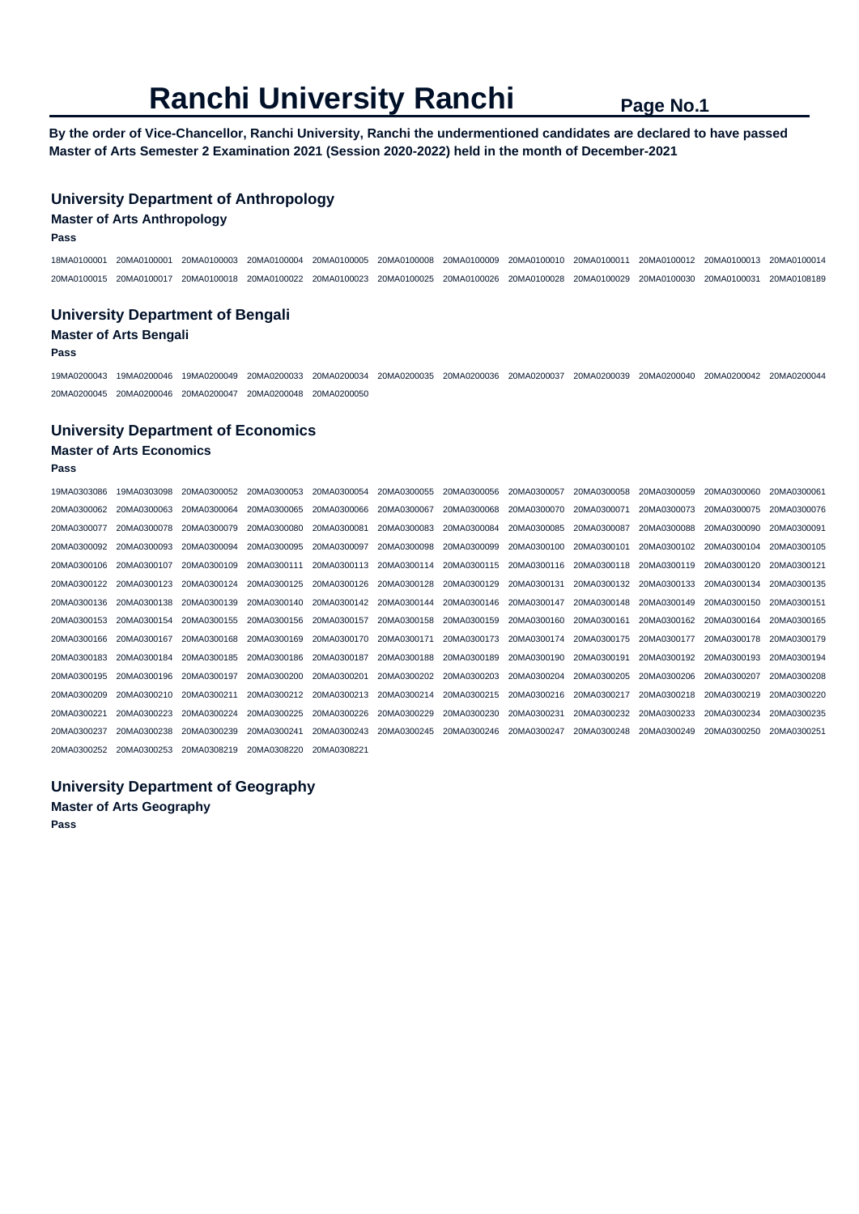**By the order of Vice-Chancellor, Ranchi University, Ranchi the undermentioned candidates are declared to have passed Master of Arts Semester 2 Examination 2021 (Session 2020-2022) held in the month of December-2021** 

### **University Department of Anthropology**

#### **Master of Arts Anthropology**

**Pass** 

18MA0100001 20MA0100001 20MA0100003 20MA0100004 20MA0100005 20MA0100008 20MA0100009 20MA0100010 20MA0100011 20MA0100012 20MA0100013 20MA0100014 20MA0100015 20MA0100017 20MA0100018 20MA0100022 20MA0100023 20MA0100025 20MA0100026 20MA0100028 20MA0100029 20MA0100030 20MA0100031 20MA0108189

### **University Department of Bengali Master of Arts Bengali**

#### **Pass**

19MA0200043 19MA0200046 19MA0200049 20MA0200033 20MA0200034 20MA0200035 20MA0200036 20MA0200037 20MA0200039 20MA0200040 20MA0200042 20MA0200044 20MA0200045 20MA0200046 20MA0200047 20MA0200048 20MA0200050

#### **University Department of Economics**

### **Master of Arts Economics**

**Pass** 

| 19MA0303086 | 19MA0303098 | 20MA0300052 | 20MA0300053 | 20MA0300054 | 20MA0300055 | 20MA0300056 | 20MA0300057 | 20MA0300058 | 20MA0300059 | 20MA0300060 | 20MA0300061 |
|-------------|-------------|-------------|-------------|-------------|-------------|-------------|-------------|-------------|-------------|-------------|-------------|
| 20MA0300062 | 20MA0300063 | 20MA0300064 | 20MA0300065 | 20MA0300066 | 20MA0300067 | 20MA0300068 | 20MA0300070 | 20MA0300071 | 20MA0300073 | 20MA0300075 | 20MA0300076 |
| 20MA0300077 | 20MA0300078 | 20MA0300079 | 20MA0300080 | 20MA0300081 | 20MA0300083 | 20MA0300084 | 20MA0300085 | 20MA0300087 | 20MA0300088 | 20MA0300090 | 20MA0300091 |
| 20MA0300092 | 20MA0300093 | 20MA0300094 | 20MA0300095 | 20MA0300097 | 20MA0300098 | 20MA0300099 | 20MA0300100 | 20MA0300101 | 20MA0300102 | 20MA0300104 | 20MA0300105 |
| 20MA0300106 | 20MA0300107 | 20MA0300109 | 20MA0300111 | 20MA0300113 | 20MA0300114 | 20MA0300115 | 20MA0300116 | 20MA0300118 | 20MA0300119 | 20MA0300120 | 20MA0300121 |
| 20MA0300122 | 20MA0300123 | 20MA0300124 | 20MA0300125 | 20MA0300126 | 20MA0300128 | 20MA0300129 | 20MA0300131 | 20MA0300132 | 20MA0300133 | 20MA0300134 | 20MA0300135 |
| 20MA0300136 | 20MA0300138 | 20MA0300139 | 20MA0300140 | 20MA0300142 | 20MA0300144 | 20MA0300146 | 20MA0300147 | 20MA0300148 | 20MA0300149 | 20MA0300150 | 20MA0300151 |
| 20MA0300153 | 20MA0300154 | 20MA0300155 | 20MA0300156 | 20MA0300157 | 20MA0300158 | 20MA0300159 | 20MA0300160 | 20MA0300161 | 20MA0300162 | 20MA0300164 | 20MA0300165 |
| 20MA0300166 | 20MA0300167 | 20MA0300168 | 20MA0300169 | 20MA0300170 | 20MA0300171 | 20MA0300173 | 20MA0300174 | 20MA0300175 | 20MA0300177 | 20MA0300178 | 20MA0300179 |
| 20MA0300183 | 20MA0300184 | 20MA0300185 | 20MA0300186 | 20MA0300187 | 20MA0300188 | 20MA0300189 | 20MA0300190 | 20MA0300191 | 20MA0300192 | 20MA0300193 | 20MA0300194 |
| 20MA0300195 | 20MA0300196 | 20MA0300197 | 20MA0300200 | 20MA0300201 | 20MA0300202 | 20MA0300203 | 20MA0300204 | 20MA0300205 | 20MA0300206 | 20MA0300207 | 20MA0300208 |
| 20MA0300209 | 20MA0300210 | 20MA0300211 | 20MA0300212 | 20MA0300213 | 20MA0300214 | 20MA0300215 | 20MA0300216 | 20MA0300217 | 20MA0300218 | 20MA0300219 | 20MA0300220 |
| 20MA0300221 | 20MA0300223 | 20MA0300224 | 20MA0300225 | 20MA0300226 | 20MA0300229 | 20MA0300230 | 20MA0300231 | 20MA0300232 | 20MA0300233 | 20MA0300234 | 20MA0300235 |
| 20MA0300237 | 20MA0300238 | 20MA0300239 | 20MA0300241 | 20MA0300243 | 20MA0300245 | 20MA0300246 | 20MA0300247 | 20MA0300248 | 20MA0300249 | 20MA0300250 | 20MA0300251 |
| 20MA0300252 | 20MA0300253 | 20MA0308219 | 20MA0308220 | 20MA0308221 |             |             |             |             |             |             |             |

```
University Department of Geography
```
**Master of Arts Geography Pass**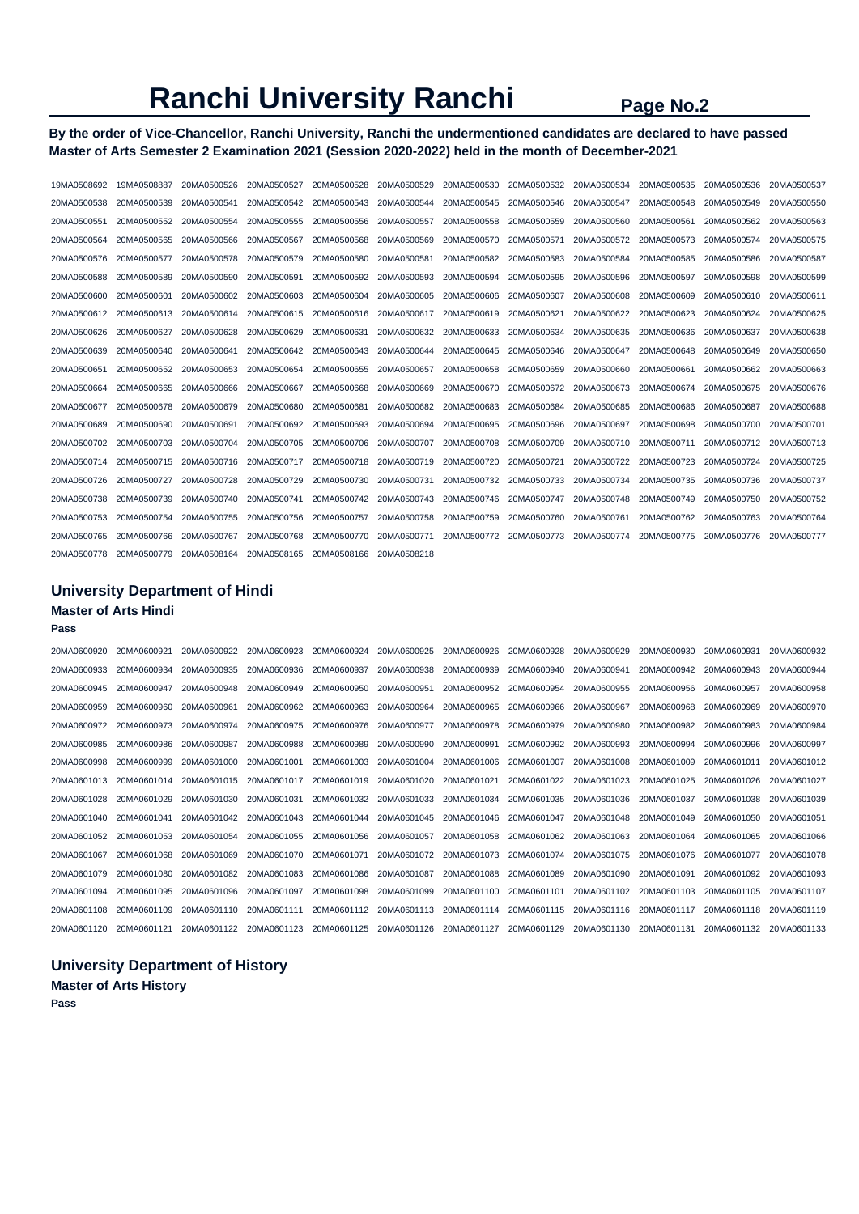### **By the order of Vice-Chancellor, Ranchi University, Ranchi the undermentioned candidates are declared to have passed Master of Arts Semester 2 Examination 2021 (Session 2020-2022) held in the month of December-2021**

| 19MA0508692 | 19MA0508887 | 20MA0500526 | 20MA0500527 | 20MA0500528 | 20MA0500529 | 20MA0500530 | 20MA0500532 | 20MA0500534 | 20MA0500535 | 20MA0500536 | 20MA0500537 |
|-------------|-------------|-------------|-------------|-------------|-------------|-------------|-------------|-------------|-------------|-------------|-------------|
| 20MA0500538 | 20MA0500539 | 20MA0500541 | 20MA0500542 | 20MA0500543 | 20MA0500544 | 20MA0500545 | 20MA0500546 | 20MA0500547 | 20MA0500548 | 20MA0500549 | 20MA0500550 |
| 20MA0500551 | 20MA0500552 | 20MA0500554 | 20MA0500555 | 20MA0500556 | 20MA0500557 | 20MA0500558 | 20MA0500559 | 20MA0500560 | 20MA0500561 | 20MA0500562 | 20MA0500563 |
| 20MA0500564 | 20MA0500565 | 20MA0500566 | 20MA0500567 | 20MA0500568 | 20MA0500569 | 20MA0500570 | 20MA0500571 | 20MA0500572 | 20MA0500573 | 20MA0500574 | 20MA0500575 |
| 20MA0500576 | 20MA0500577 | 20MA0500578 | 20MA0500579 | 20MA0500580 | 20MA0500581 | 20MA0500582 | 20MA0500583 | 20MA0500584 | 20MA0500585 | 20MA0500586 | 20MA0500587 |
| 20MA0500588 | 20MA0500589 | 20MA0500590 | 20MA0500591 | 20MA0500592 | 20MA0500593 | 20MA0500594 | 20MA0500595 | 20MA0500596 | 20MA0500597 | 20MA0500598 | 20MA0500599 |
| 20MA0500600 | 20MA0500601 | 20MA0500602 | 20MA0500603 | 20MA0500604 | 20MA0500605 | 20MA0500606 | 20MA0500607 | 20MA0500608 | 20MA0500609 | 20MA0500610 | 20MA0500611 |
| 20MA0500612 | 20MA0500613 | 20MA0500614 | 20MA0500615 | 20MA0500616 | 20MA0500617 | 20MA0500619 | 20MA0500621 | 20MA0500622 | 20MA0500623 | 20MA0500624 | 20MA0500625 |
| 20MA0500626 | 20MA0500627 | 20MA0500628 | 20MA0500629 | 20MA0500631 | 20MA0500632 | 20MA0500633 | 20MA0500634 | 20MA0500635 | 20MA0500636 | 20MA0500637 | 20MA0500638 |
| 20MA0500639 | 20MA0500640 | 20MA0500641 | 20MA0500642 | 20MA0500643 | 20MA0500644 | 20MA0500645 | 20MA0500646 | 20MA0500647 | 20MA0500648 | 20MA0500649 | 20MA0500650 |
| 20MA0500651 | 20MA0500652 | 20MA0500653 | 20MA0500654 | 20MA0500655 | 20MA0500657 | 20MA0500658 | 20MA0500659 | 20MA0500660 | 20MA0500661 | 20MA0500662 | 20MA0500663 |
| 20MA0500664 | 20MA0500665 | 20MA0500666 | 20MA0500667 | 20MA0500668 | 20MA0500669 | 20MA0500670 | 20MA0500672 | 20MA0500673 | 20MA0500674 | 20MA0500675 | 20MA0500676 |
| 20MA0500677 | 20MA0500678 | 20MA0500679 | 20MA0500680 | 20MA0500681 | 20MA0500682 | 20MA0500683 | 20MA0500684 | 20MA0500685 | 20MA0500686 | 20MA0500687 | 20MA0500688 |
| 20MA0500689 | 20MA0500690 | 20MA0500691 | 20MA0500692 | 20MA0500693 | 20MA0500694 | 20MA0500695 | 20MA0500696 | 20MA0500697 | 20MA0500698 | 20MA0500700 | 20MA0500701 |
| 20MA0500702 | 20MA0500703 | 20MA0500704 | 20MA0500705 | 20MA0500706 | 20MA0500707 | 20MA0500708 | 20MA0500709 | 20MA0500710 | 20MA0500711 | 20MA0500712 | 20MA0500713 |
| 20MA0500714 | 20MA0500715 | 20MA0500716 | 20MA0500717 | 20MA0500718 | 20MA0500719 | 20MA0500720 | 20MA0500721 | 20MA0500722 | 20MA0500723 | 20MA0500724 | 20MA0500725 |
| 20MA0500726 | 20MA0500727 | 20MA0500728 | 20MA0500729 | 20MA0500730 | 20MA0500731 | 20MA0500732 | 20MA0500733 | 20MA0500734 | 20MA0500735 | 20MA0500736 | 20MA0500737 |
| 20MA0500738 | 20MA0500739 | 20MA0500740 | 20MA0500741 | 20MA0500742 | 20MA0500743 | 20MA0500746 | 20MA0500747 | 20MA0500748 | 20MA0500749 | 20MA0500750 | 20MA0500752 |
| 20MA0500753 | 20MA0500754 | 20MA0500755 | 20MA0500756 | 20MA0500757 | 20MA0500758 | 20MA0500759 | 20MA0500760 | 20MA0500761 | 20MA0500762 | 20MA0500763 | 20MA0500764 |
| 20MA0500765 | 20MA0500766 | 20MA0500767 | 20MA0500768 | 20MA0500770 | 20MA0500771 | 20MA0500772 | 20MA0500773 | 20MA0500774 | 20MA0500775 | 20MA0500776 | 20MA0500777 |
| 20MA0500778 | 20MA0500779 | 20MA0508164 | 20MA0508165 | 20MA0508166 | 20MA0508218 |             |             |             |             |             |             |

### **University Department of Hindi Master of Arts Hindi Pass**

| 20MA0600920 | 20MA0600921 | 20MA0600922 | 20MA0600923             | 20MA0600924 | 20MA0600925 | 20MA0600926 | 20MA0600928 | 20MA0600929 | 20MA0600930 | 20MA0600931 | 20MA0600932 |
|-------------|-------------|-------------|-------------------------|-------------|-------------|-------------|-------------|-------------|-------------|-------------|-------------|
| 20MA0600933 | 20MA0600934 | 20MA0600935 | 20MA0600936             | 20MA0600937 | 20MA0600938 | 20MA0600939 | 20MA0600940 | 20MA0600941 | 20MA0600942 | 20MA0600943 | 20MA0600944 |
| 20MA0600945 | 20MA0600947 | 20MA0600948 | 20MA0600949             | 20MA0600950 | 20MA0600951 | 20MA0600952 | 20MA0600954 | 20MA0600955 | 20MA0600956 | 20MA0600957 | 20MA0600958 |
| 20MA0600959 | 20MA0600960 | 20MA0600961 | 20MA0600962             | 20MA0600963 | 20MA0600964 | 20MA0600965 | 20MA0600966 | 20MA0600967 | 20MA0600968 | 20MA0600969 | 20MA0600970 |
| 20MA0600972 | 20MA0600973 | 20MA0600974 | 20MA0600975             | 20MA0600976 | 20MA0600977 | 20MA0600978 | 20MA0600979 | 20MA0600980 | 20MA0600982 | 20MA0600983 | 20MA0600984 |
| 20MA0600985 | 20MA0600986 | 20MA0600987 | 20MA0600988             | 20MA0600989 | 20MA0600990 | 20MA0600991 | 20MA0600992 | 20MA0600993 | 20MA0600994 | 20MA0600996 | 20MA0600997 |
| 20MA0600998 | 20MA0600999 | 20MA0601000 | 20MA0601001             | 20MA0601003 | 20MA0601004 | 20MA0601006 | 20MA0601007 | 20MA0601008 | 20MA0601009 | 20MA0601011 | 20MA0601012 |
| 20MA0601013 | 20MA0601014 | 20MA0601015 | 20MA0601017             | 20MA0601019 | 20MA0601020 | 20MA0601021 | 20MA0601022 | 20MA0601023 | 20MA0601025 | 20MA0601026 | 20MA0601027 |
| 20MA0601028 | 20MA0601029 | 20MA0601030 | 20MA0601031             | 20MA0601032 | 20MA0601033 | 20MA0601034 | 20MA0601035 | 20MA0601036 | 20MA0601037 | 20MA0601038 | 20MA0601039 |
| 20MA0601040 | 20MA0601041 | 20MA0601042 | 20MA0601043             | 20MA0601044 | 20MA0601045 | 20MA0601046 | 20MA0601047 | 20MA0601048 | 20MA0601049 | 20MA0601050 | 20MA0601051 |
| 20MA0601052 | 20MA0601053 | 20MA0601054 | 20MA0601055             | 20MA0601056 | 20MA0601057 | 20MA0601058 | 20MA0601062 | 20MA0601063 | 20MA0601064 | 20MA0601065 | 20MA0601066 |
| 20MA0601067 | 20MA0601068 | 20MA0601069 | 20MA0601070             | 20MA0601071 | 20MA0601072 | 20MA0601073 | 20MA0601074 | 20MA0601075 | 20MA0601076 | 20MA0601077 | 20MA0601078 |
| 20MA0601079 | 20MA0601080 | 20MA0601082 | 20MA0601083             | 20MA0601086 | 20MA0601087 | 20MA0601088 | 20MA0601089 | 20MA0601090 | 20MA0601091 | 20MA0601092 | 20MA0601093 |
| 20MA0601094 | 20MA0601095 | 20MA0601096 | 20MA0601097             | 20MA0601098 | 20MA0601099 | 20MA0601100 | 20MA0601101 | 20MA0601102 | 20MA0601103 | 20MA0601105 | 20MA0601107 |
| 20MA0601108 | 20MA0601109 | 20MA0601110 | 20MA0601111             | 20MA0601112 | 20MA0601113 | 20MA0601114 | 20MA0601115 | 20MA0601116 | 20MA0601117 | 20MA0601118 | 20MA0601119 |
| 20MA0601120 | 20MA0601121 |             | 20MA0601122 20MA0601123 | 20MA0601125 | 20MA0601126 | 20MA0601127 | 20MA0601129 | 20MA0601130 | 20MA0601131 | 20MA0601132 | 20MA0601133 |

### **University Department of History**

**Master of Arts History Pass**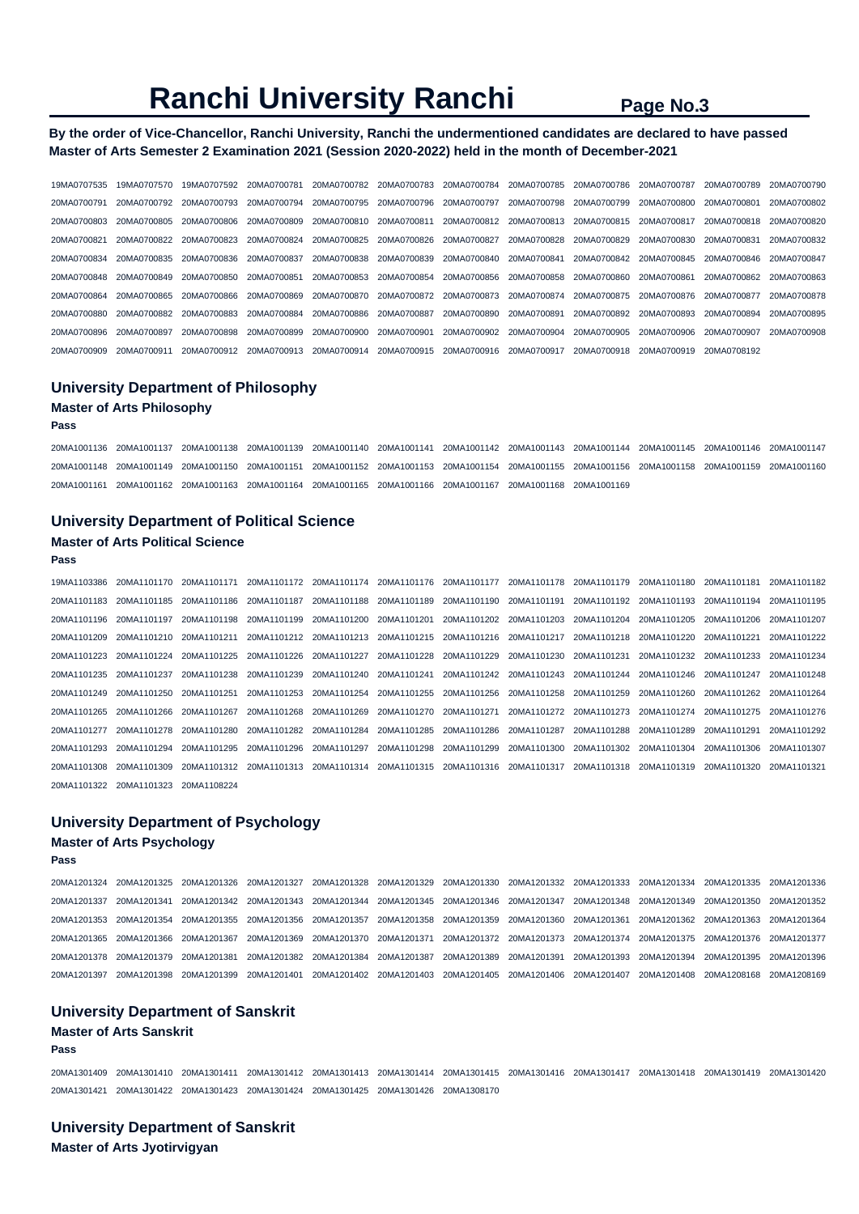### **By the order of Vice-Chancellor, Ranchi University, Ranchi the undermentioned candidates are declared to have passed Master of Arts Semester 2 Examination 2021 (Session 2020-2022) held in the month of December-2021**

| 19MA0707535 | 19MA0707570 | 19MA0707592 | 20MA0700781 | 20MA0700782 | 20MA0700783 | 20MA0700784 | 20MA0700785 | 20MA0700786 | 20MA0700787 | 20MA0700789 | 20MA0700790 |
|-------------|-------------|-------------|-------------|-------------|-------------|-------------|-------------|-------------|-------------|-------------|-------------|
| 20MA0700791 | 20MA0700792 | 20MA0700793 | 20MA0700794 | 20MA0700795 | 20MA0700796 | 20MA0700797 | 20MA0700798 | 20MA0700799 | 20MA0700800 | 20MA0700801 | 20MA0700802 |
| 20MA0700803 | 20MA0700805 | 20MA0700806 | 20MA0700809 | 20MA0700810 | 20MA0700811 | 20MA0700812 | 20MA0700813 | 20MA0700815 | 20MA0700817 | 20MA0700818 | 20MA0700820 |
| 20MA0700821 | 20MA0700822 | 20MA0700823 | 20MA0700824 | 20MA0700825 | 20MA0700826 | 20MA0700827 | 20MA0700828 | 20MA0700829 | 20MA0700830 | 20MA0700831 | 20MA0700832 |
| 20MA0700834 | 20MA0700835 | 20MA0700836 | 20MA0700837 | 20MA0700838 | 20MA0700839 | 20MA0700840 | 20MA0700841 | 20MA0700842 | 20MA0700845 | 20MA0700846 | 20MA0700847 |
| 20MA0700848 | 20MA0700849 | 20MA0700850 | 20MA0700851 | 20MA0700853 | 20MA0700854 | 20MA0700856 | 20MA0700858 | 20MA0700860 | 20MA0700861 | 20MA0700862 | 20MA0700863 |
| 20MA0700864 | 20MA0700865 | 20MA0700866 | 20MA0700869 | 20MA0700870 | 20MA0700872 | 20MA0700873 | 20MA0700874 | 20MA0700875 | 20MA0700876 | 20MA0700877 | 20MA0700878 |
| 20MA0700880 | 20MA0700882 | 20MA0700883 | 20MA0700884 | 20MA0700886 | 20MA0700887 | 20MA0700890 | 20MA0700891 | 20MA0700892 | 20MA0700893 | 20MA0700894 | 20MA0700895 |
| 20MA0700896 | 20MA0700897 | 20MA0700898 | 20MA0700899 | 20MA0700900 | 20MA0700901 | 20MA0700902 | 20MA0700904 | 20MA0700905 | 20MA0700906 | 20MA0700907 | 20MA0700908 |
| 20MA0700909 | 20MA0700911 | 20MA0700912 | 20MA0700913 | 20MA0700914 | 20MA0700915 | 20MA0700916 | 20MA0700917 | 20MA0700918 | 20MA0700919 | 20MA0708192 |             |

### **University Department of Philosophy Master of Arts Philosophy**

#### **Pass**

20MA1001136 20MA1001137 20MA1001138 20MA1001139 20MA1001140 20MA1001141 20MA1001142 20MA1001143 20MA1001144 20MA1001145 20MA1001146 20MA1001147 20MA1001148 20MA1001149 20MA1001150 20MA1001151 20MA1001152 20MA1001153 20MA1001154 20MA1001155 20MA1001156 20MA1001158 20MA1001159 20MA1001160 20MA1001161 20MA1001162 20MA1001163 20MA1001164 20MA1001165 20MA1001166 20MA1001167 20MA1001168 20MA1001169

#### **University Department of Political Science**

#### **Master of Arts Political Science**

#### **Pass**

19MA1103386 20MA1101170 20MA1101171 20MA1101172 20MA1101174 20MA1101176 20MA1101177 20MA1101178 20MA1101179 20MA1101180 20MA1101181 20MA1101182 20MA1101183 20MA1101185 20MA1101186 20MA1101187 20MA1101188 20MA1101189 20MA1101190 20MA1101191 20MA1101192 20MA1101193 20MA1101194 20MA1101195 20MA1101196 20MA1101197 20MA1101198 20MA1101199 20MA1101200 20MA1101201 20MA1101202 20MA1101203 20MA1101204 20MA1101205 20MA1101206 20MA1101207 20MA1101209 20MA1101210 20MA1101211 20MA1101212 20MA1101213 20MA1101215 20MA1101216 20MA1101217 20MA1101218 20MA1101220 20MA1101221 20MA1101222 20MA1101223 20MA1101224 20MA1101225 20MA1101226 20MA1101227 20MA1101228 20MA1101229 20MA1101230 20MA1101231 20MA1101232 20MA1101233 20MA1101234 20MA1101235 20MA1101237 20MA1101238 20MA1101239 20MA1101240 20MA1101241 20MA1101242 20MA1101243 20MA1101244 20MA1101246 20MA1101247 20MA1101248 20MA1101249 20MA1101250 20MA1101251 20MA1101253 20MA1101254 20MA1101255 20MA1101256 20MA1101258 20MA1101259 20MA1101260 20MA1101262 20MA1101264 20MA1101265 20MA1101266 20MA1101267 20MA1101268 20MA1101269 20MA1101270 20MA1101271 20MA1101272 20MA1101273 20MA1101274 20MA1101275 20MA1101276 20MA1101277 20MA1101278 20MA1101280 20MA1101282 20MA1101284 20MA1101285 20MA1101286 20MA1101287 20MA1101288 20MA1101289 20MA1101291 20MA1101292 20MA1101293 20MA1101294 20MA1101295 20MA1101296 20MA1101297 20MA1101298 20MA1101299 20MA1101300 20MA1101302 20MA1101304 20MA1101306 20MA1101307 20MA1101308 20MA1101309 20MA1101312 20MA1101313 20MA1101314 20MA1101315 20MA1101316 20MA1101317 20MA1101318 20MA1101319 20MA1101320 20MA1101321 20MA1101322 20MA1101323 20MA1108224

#### **University Department of Psychology**

#### **Master of Arts Psychology**

**Pass** 

20MA1201324 20MA1201325 20MA1201326 20MA1201327 20MA1201328 20MA1201329 20MA1201330 20MA1201332 20MA1201333 20MA1201334 20MA1201335 20MA1201336 20MA1201337 20MA1201341 20MA1201342 20MA1201343 20MA1201344 20MA1201345 20MA1201346 20MA1201347 20MA1201348 20MA1201349 20MA1201350 20MA1201352 20MA1201353 20MA1201354 20MA1201355 20MA1201356 20MA1201357 20MA1201358 20MA1201359 20MA1201360 20MA1201361 20MA1201362 20MA1201363 20MA1201364 20MA1201365 20MA1201366 20MA1201367 20MA1201369 20MA1201370 20MA1201371 20MA1201372 20MA1201373 20MA1201374 20MA1201375 20MA1201376 20MA1201377 20MA1201378 20MA1201379 20MA1201381 20MA1201382 20MA1201384 20MA1201387 20MA1201389 20MA1201391 20MA1201393 20MA1201394 20MA1201395 20MA1201396 20MA1201397 20MA1201398 20MA1201399 20MA1201401 20MA1201402 20MA1201403 20MA1201405 20MA1201406 20MA1201407 20MA1201408 20MA1208168 20MA1208169

#### **University Department of Sanskrit**

#### **Master of Arts Sanskrit**

#### **Pass**

20MA1301409 20MA1301410 20MA1301411 20MA1301412 20MA1301413 20MA1301414 20MA1301415 20MA1301416 20MA1301417 20MA1301418 20MA1301419 20MA1301420 20MA1301421 20MA1301422 20MA1301423 20MA1301424 20MA1301425 20MA1301426 20MA1308170

**University Department of Sanskrit Master of Arts Jyotirvigyan**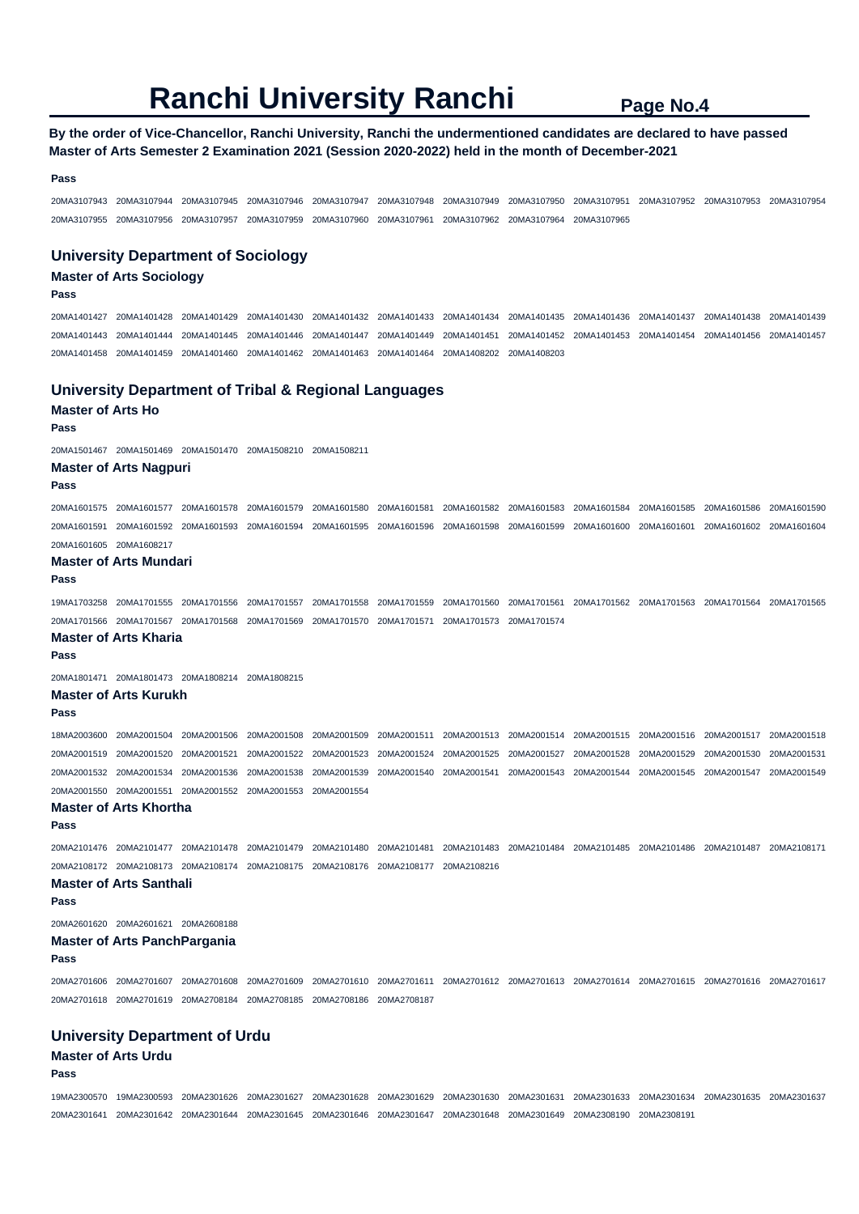#### **By the order of Vice-Chancellor, Ranchi University, Ranchi the undermentioned candidates are declared to have passed Master of Arts Semester 2 Examination 2021 (Session 2020-2022) held in the month of December-2021**

#### **Pass**

20MA3107943 20MA3107944 20MA3107945 20MA3107946 20MA3107947 20MA3107948 20MA3107949 20MA3107950 20MA3107951 20MA3107952 20MA3107953 20MA3107954 20MA3107955 20MA3107956 20MA3107957 20MA3107959 20MA3107960 20MA3107961 20MA3107962 20MA3107964 20MA3107965

#### **University Department of Sociology**

### **Master of Arts Sociology**

#### **Pass**

20MA1401427 20MA1401428 20MA1401429 20MA1401430 20MA1401432 20MA1401433 20MA1401434 20MA1401435 20MA1401436 20MA1401437 20MA1401438 20MA1401439 20MA1401443 20MA1401444 20MA1401445 20MA1401446 20MA1401447 20MA1401449 20MA1401451 20MA1401452 20MA1401453 20MA1401454 20MA1401456 20MA1401457 20MA1401458 20MA1401459 20MA1401460 20MA1401462 20MA1401463 20MA1401464 20MA1408202 20MA1408203

#### **University Department of Tribal & Regional Languages**

**Master of Arts Ho** 

**Pass** 

20MA1501467 20MA1501469 20MA1501470 20MA1508210 20MA1508211

#### **Master of Arts Nagpuri**

**Pass** 

20MA1601575 20MA1601577 20MA1601578 20MA1601579 20MA1601580 20MA1601581 20MA1601582 20MA1601583 20MA1601584 20MA1601585 20MA1601586 20MA1601590 20MA1601591 20MA1601592 20MA1601593 20MA1601594 20MA1601595 20MA1601596 20MA1601598 20MA1601599 20MA1601600 20MA1601601 20MA1601602 20MA1601604 20MA1601605 20MA1608217

#### **Master of Arts Mundari**

**Pass** 

19MA1703258 20MA1701555 20MA1701556 20MA1701557 20MA1701558 20MA1701559 20MA1701560 20MA1701561 20MA1701562 20MA1701563 20MA1701564 20MA1701565 20MA1701566 20MA1701567 20MA1701568 20MA1701569 20MA1701570 20MA1701571 20MA1701573 20MA1701574

#### **Master of Arts Kharia**

**Pass** 

20MA1801471 20MA1801473 20MA1808214 20MA1808215

#### **Master of Arts Kurukh**

**Pass** 

18MA2003600 20MA2001504 20MA2001506 20MA2001508 20MA2001509 20MA2001511 20MA2001513 20MA2001514 20MA2001515 20MA2001516 20MA2001517 20MA2001518 20MA2001519 20MA2001520 20MA2001521 20MA2001522 20MA2001523 20MA2001524 20MA2001525 20MA2001527 20MA2001528 20MA2001529 20MA2001530 20MA2001531 20MA2001532 20MA2001534 20MA2001536 20MA2001538 20MA2001539 20MA2001540 20MA2001541 20MA2001543 20MA2001544 20MA2001545 20MA2001547 20MA2001549 20MA2001550 20MA2001551 20MA2001552 20MA2001553 20MA2001554

#### **Master of Arts Khortha**

**Pass** 

20MA2101476 20MA2101477 20MA2101478 20MA2101479 20MA2101480 20MA2101481 20MA2101483 20MA2101484 20MA2101485 20MA2101486 20MA2101487 20MA2108171 20MA2108172 20MA2108173 20MA2108174 20MA2108175 20MA2108176 20MA2108177 20MA2108216

#### **Master of Arts Santhali**

**Pass** 

20MA2601620 20MA2601621 20MA2608188

#### **Master of Arts PanchPargania**

**Pass** 

20MA2701606 20MA2701607 20MA2701608 20MA2701609 20MA2701610 20MA2701611 20MA2701612 20MA2701613 20MA2701614 20MA2701615 20MA2701616 20MA2701617 20MA2701618 20MA2701619 20MA2708184 20MA2708185 20MA2708186 20MA2708187

#### **University Department of Urdu**

#### **Master of Arts Urdu**

**Pass** 

19MA2300570 19MA2300593 20MA2301626 20MA2301627 20MA2301628 20MA2301629 20MA2301630 20MA2301631 20MA2301633 20MA2301634 20MA2301635 20MA2301637 20MA2301641 20MA2301642 20MA2301644 20MA2301645 20MA2301646 20MA2301647 20MA2301648 20MA2301649 20MA2308190 20MA2308191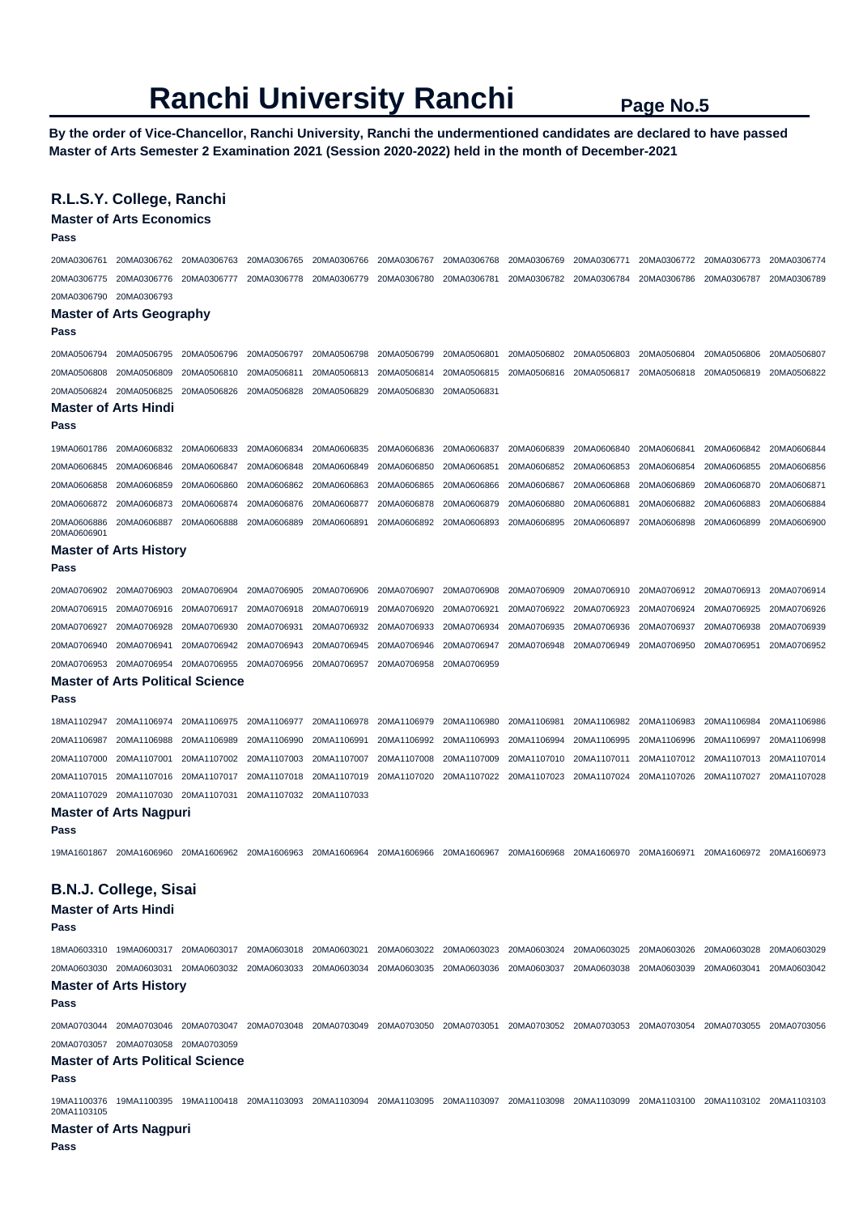**By the order of Vice-Chancellor, Ranchi University, Ranchi the undermentioned candidates are declared to have passed Master of Arts Semester 2 Examination 2021 (Session 2020-2022) held in the month of December-2021** 

#### **R.L.S.Y. College, Ranchi**

**Master of Arts Economics** 

| Pass                       | שטחוטווטים בגיות וט                     |             |             |             |             |             |             |             |             |             |             |
|----------------------------|-----------------------------------------|-------------|-------------|-------------|-------------|-------------|-------------|-------------|-------------|-------------|-------------|
| 20MA0306761                | 20MA0306762                             | 20MA0306763 | 20MA0306765 | 20MA0306766 | 20MA0306767 | 20MA0306768 | 20MA0306769 | 20MA0306771 | 20MA0306772 | 20MA0306773 | 20MA0306774 |
| 20MA0306775                | 20MA0306776                             | 20MA0306777 | 20MA0306778 | 20MA0306779 | 20MA0306780 | 20MA0306781 | 20MA0306782 | 20MA0306784 | 20MA0306786 | 20MA0306787 | 20MA0306789 |
| 20MA0306790                | 20MA0306793                             |             |             |             |             |             |             |             |             |             |             |
| Pass                       | <b>Master of Arts Geography</b>         |             |             |             |             |             |             |             |             |             |             |
| 20MA0506794                | 20MA0506795                             | 20MA0506796 | 20MA0506797 | 20MA0506798 | 20MA0506799 | 20MA0506801 | 20MA0506802 | 20MA0506803 | 20MA0506804 | 20MA0506806 | 20MA0506807 |
| 20MA0506808                | 20MA0506809                             | 20MA0506810 | 20MA0506811 | 20MA0506813 | 20MA0506814 | 20MA0506815 | 20MA0506816 | 20MA0506817 | 20MA0506818 | 20MA0506819 | 20MA0506822 |
| 20MA0506824                | 20MA0506825                             | 20MA0506826 | 20MA0506828 | 20MA0506829 | 20MA0506830 | 20MA0506831 |             |             |             |             |             |
|                            | <b>Master of Arts Hindi</b>             |             |             |             |             |             |             |             |             |             |             |
| Pass                       |                                         |             |             |             |             |             |             |             |             |             |             |
| 19MA0601786                | 20MA0606832                             | 20MA0606833 | 20MA0606834 | 20MA0606835 | 20MA0606836 | 20MA0606837 | 20MA0606839 | 20MA0606840 | 20MA0606841 | 20MA0606842 | 20MA0606844 |
| 20MA0606845                | 20MA0606846                             | 20MA0606847 | 20MA0606848 | 20MA0606849 | 20MA0606850 | 20MA0606851 | 20MA0606852 | 20MA0606853 | 20MA0606854 | 20MA0606855 | 20MA0606856 |
| 20MA0606858                | 20MA0606859                             | 20MA0606860 | 20MA0606862 | 20MA0606863 | 20MA0606865 | 20MA0606866 | 20MA0606867 | 20MA0606868 | 20MA0606869 | 20MA0606870 | 20MA0606871 |
| 20MA0606872                | 20MA0606873                             | 20MA0606874 | 20MA0606876 | 20MA0606877 | 20MA0606878 | 20MA0606879 | 20MA0606880 | 20MA0606881 | 20MA0606882 | 20MA0606883 | 20MA0606884 |
| 20MA0606886<br>20MA0606901 | 20MA0606887                             | 20MA0606888 | 20MA0606889 | 20MA0606891 | 20MA0606892 | 20MA0606893 | 20MA0606895 | 20MA0606897 | 20MA0606898 | 20MA0606899 | 20MA0606900 |
|                            | <b>Master of Arts History</b>           |             |             |             |             |             |             |             |             |             |             |
| Pass                       |                                         |             |             |             |             |             |             |             |             |             |             |
| 20MA0706902                | 20MA0706903                             | 20MA0706904 | 20MA0706905 | 20MA0706906 | 20MA0706907 | 20MA0706908 | 20MA0706909 | 20MA0706910 | 20MA0706912 | 20MA0706913 | 20MA0706914 |
| 20MA0706915                | 20MA0706916                             | 20MA0706917 | 20MA0706918 | 20MA0706919 | 20MA0706920 | 20MA0706921 | 20MA0706922 | 20MA0706923 | 20MA0706924 | 20MA0706925 | 20MA0706926 |
| 20MA0706927                | 20MA0706928                             | 20MA0706930 | 20MA0706931 | 20MA0706932 | 20MA0706933 | 20MA0706934 | 20MA0706935 | 20MA0706936 | 20MA0706937 | 20MA0706938 | 20MA0706939 |
| 20MA0706940                | 20MA0706941                             | 20MA0706942 | 20MA0706943 | 20MA0706945 | 20MA0706946 | 20MA0706947 | 20MA0706948 | 20MA0706949 | 20MA0706950 | 20MA0706951 | 20MA0706952 |
| 20MA0706953                | 20MA0706954                             | 20MA0706955 | 20MA0706956 | 20MA0706957 | 20MA0706958 | 20MA0706959 |             |             |             |             |             |
|                            | <b>Master of Arts Political Science</b> |             |             |             |             |             |             |             |             |             |             |
| Pass                       |                                         |             |             |             |             |             |             |             |             |             |             |
| 18MA1102947                | 20MA1106974                             | 20MA1106975 | 20MA1106977 | 20MA1106978 | 20MA1106979 | 20MA1106980 | 20MA1106981 | 20MA1106982 | 20MA1106983 | 20MA1106984 | 20MA1106986 |
| 20MA1106987                | 20MA1106988                             | 20MA1106989 | 20MA1106990 | 20MA1106991 | 20MA1106992 | 20MA1106993 | 20MA1106994 | 20MA1106995 | 20MA1106996 | 20MA1106997 | 20MA1106998 |
| 20MA1107000                | 20MA1107001                             | 20MA1107002 | 20MA1107003 | 20MA1107007 | 20MA1107008 | 20MA1107009 | 20MA1107010 | 20MA1107011 | 20MA1107012 | 20MA1107013 | 20MA1107014 |

20MA1107029 20MA1107030 20MA1107031 20MA1107032 20MA1107033 **Master of Arts Nagpuri** 

#### **Pass**

19MA1601867 20MA1606960 20MA1606962 20MA1606963 20MA1606964 20MA1606966 20MA1606967 20MA1606968 20MA1606970 20MA1606971 20MA1606972 20MA1606973

20MA1107015 20MA1107016 20MA1107017 20MA1107018 20MA1107019 20MA1107020 20MA1107022 20MA1107023 20MA1107024 20MA1107026 20MA1107027 20MA1107028

#### **B.N.J. College, Sisai**

**Master of Arts Hindi** 

**Pass** 

18MA0603310 19MA0600317 20MA0603017 20MA0603018 20MA0603021 20MA0603022 20MA0603023 20MA0603024 20MA0603025 20MA0603026 20MA0603028 20MA0603029 20MA0603030 20MA0603031 20MA0603032 20MA0603033 20MA0603034 20MA0603035 20MA0603036 20MA0603037 20MA0603038 20MA0603039 20MA0603041 20MA0603042 **Master of Arts History** 

## **Pass**

20MA0703044 20MA0703046 20MA0703047 20MA0703048 20MA0703049 20MA0703050 20MA0703051 20MA0703052 20MA0703053 20MA0703054 20MA0703055 20MA0703056 20MA0703057 20MA0703058 20MA0703059

**Master of Arts Political Science** 

### **Pass**

19MA1100376 19MA1100395 19MA1100418 20MA1103093 20MA1103094 20MA1103095 20MA1103097 20MA1103098 20MA1103099 20MA1103100 20MA1103102 20MA1103103 20MA1103105

#### **Master of Arts Nagpuri**

**Pass**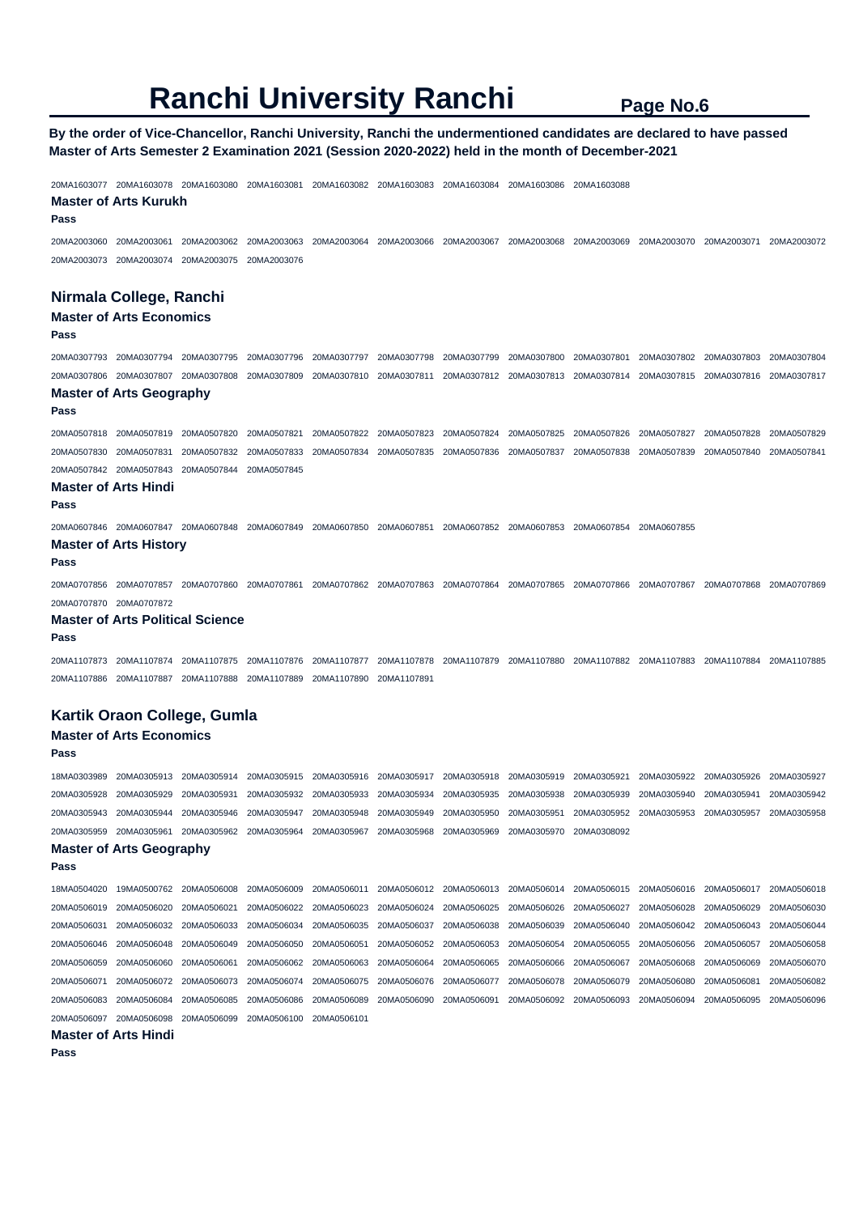#### **By the order of Vice-Chancellor, Ranchi University, Ranchi the undermentioned candidates are declared to have passed Master of Arts Semester 2 Examination 2021 (Session 2020-2022) held in the month of December-2021**

20MA1603077 20MA1603078 20MA1603080 20MA1603081 20MA1603082 20MA1603083 20MA1603084 20MA1603086 20MA1603088 **Master of Arts Kurukh Pass**  20MA2003060 20MA2003061 20MA2003062 20MA2003063 20MA2003064 20MA2003066 20MA2003067 20MA2003068 20MA2003069 20MA2003070 20MA2003071 20MA2003072 20MA2003073 20MA2003074 20MA2003075 20MA2003076 **Nirmala College, Ranchi Master of Arts Economics Pass**  20MA0307793 20MA0307794 20MA0307795 20MA0307796 20MA0307797 20MA0307798 20MA0307799 20MA0307800 20MA0307801 20MA0307802 20MA0307803 20MA0307804 20MA0307806 20MA0307807 20MA0307808 20MA0307809 20MA0307810 20MA0307811 20MA0307812 20MA0307813 20MA0307814 20MA0307815 20MA0307816 20MA0307817 **Master of Arts Geography Pass**  20MA0507818 20MA0507819 20MA0507820 20MA0507821 20MA0507822 20MA0507823 20MA0507824 20MA0507825 20MA0507826 20MA0507827 20MA0507828 20MA0507829 20MA0507830 20MA0507831 20MA0507832 20MA0507833 20MA0507834 20MA0507835 20MA0507836 20MA0507837 20MA0507838 20MA0507839 20MA0507840 20MA0507841 20MA0507842 20MA0507843 20MA0507844 20MA0507845 **Master of Arts Hindi Pass**  20MA0607846 20MA0607847 20MA0607848 20MA0607849 20MA0607850 20MA0607851 20MA0607852 20MA0607853 20MA0607854 20MA0607855 **Master of Arts History Pass**  20MA0707856 20MA0707857 20MA0707860 20MA0707861 20MA0707862 20MA0707863 20MA0707864 20MA0707865 20MA0707866 20MA0707867 20MA0707868 20MA0707869 20MA0707870 20MA0707872 **Master of Arts Political Science Pass**  20MA1107873 20MA1107874 20MA1107875 20MA1107876 20MA1107877 20MA1107878 20MA1107879 20MA1107880 20MA1107882 20MA1107883 20MA1107884 20MA1107885 20MA1107886 20MA1107887 20MA1107888 20MA1107889 20MA1107890 20MA1107891 **Kartik Oraon College, Gumla Master of Arts Economics Pass**  18MA0303989 20MA0305913 20MA0305914 20MA0305915 20MA0305916 20MA0305917 20MA0305918 20MA0305919 20MA0305921 20MA0305922 20MA0305926 20MA0305927 20MA0305928 20MA0305929 20MA0305931 20MA0305932 20MA0305933 20MA0305934 20MA0305935 20MA0305938 20MA0305939 20MA0305940 20MA0305941 20MA0305942 20MA0305943 20MA0305944 20MA0305946 20MA0305947 20MA0305948 20MA0305949 20MA0305950 20MA0305951 20MA0305952 20MA0305953 20MA0305957 20MA0305958 20MA0305959 20MA0305961 20MA0305962 20MA0305964 20MA0305967 20MA0305968 20MA0305969 20MA0305970 20MA0308092 **Master of Arts Geography Pass**  18MA0504020 19MA0500762 20MA0506008 20MA0506009 20MA0506011 20MA0506012 20MA0506013 20MA0506014 20MA0506015 20MA0506016 20MA0506017 20MA0506018 20MA0506019 20MA0506020 20MA0506021 20MA0506022 20MA0506023 20MA0506024 20MA0506025 20MA0506026 20MA0506027 20MA0506028 20MA0506029 20MA0506030 20MA0506031 20MA0506032 20MA0506033 20MA0506034 20MA0506035 20MA0506037 20MA0506038 20MA0506039 20MA0506040 20MA0506042 20MA0506043 20MA0506044 20MA0506046 20MA0506048 20MA0506049 20MA0506050 20MA0506051 20MA0506052 20MA0506053 20MA0506054 20MA0506055 20MA0506056 20MA0506057 20MA0506058 20MA0506059 20MA0506060 20MA0506061 20MA0506062 20MA0506063 20MA0506064 20MA0506065 20MA0506066 20MA0506067 20MA0506068 20MA0506069 20MA0506070 20MA0506071 20MA0506072 20MA0506073 20MA0506074 20MA0506075 20MA0506076 20MA0506077 20MA0506078 20MA0506079 20MA0506080 20MA0506081 20MA0506082 20MA0506083 20MA0506084 20MA0506085 20MA0506086 20MA0506089 20MA0506090 20MA0506091 20MA0506092 20MA0506093 20MA0506094 20MA0506095 20MA0506096 20MA0506097 20MA0506098 20MA0506099 20MA0506100 20MA0506101 **Master of Arts Hindi Pass**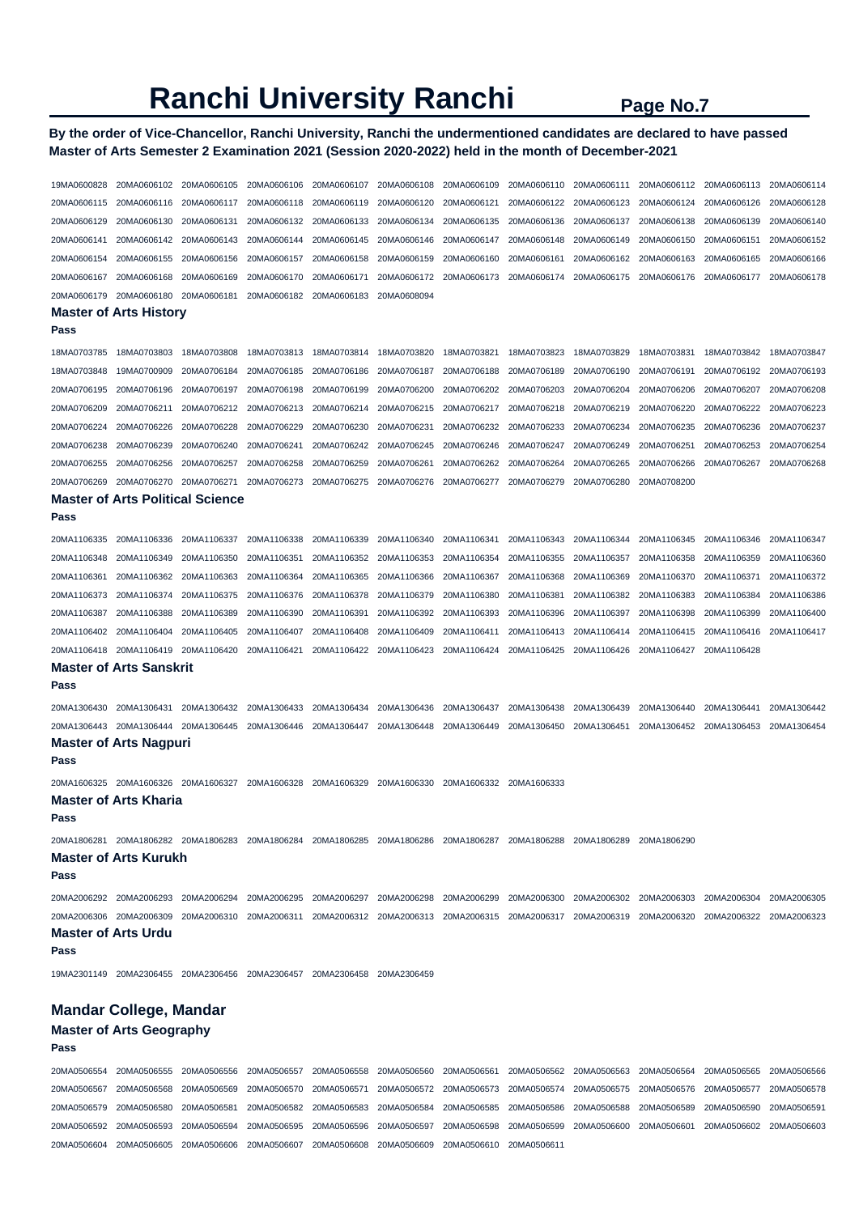### **By the order of Vice-Chancellor, Ranchi University, Ranchi the undermentioned candidates are declared to have passed Master of Arts Semester 2 Examination 2021 (Session 2020-2022) held in the month of December-2021**

| 19MA0600828                | 20MA0606102 20MA0606105                                      |                            | 20MA0606106                | 20MA0606107                | 20MA0606108                | 20MA0606109                | 20MA0606110                | 20MA0606111                | 20MA0606112                | 20MA0606113                | 20MA0606114                |
|----------------------------|--------------------------------------------------------------|----------------------------|----------------------------|----------------------------|----------------------------|----------------------------|----------------------------|----------------------------|----------------------------|----------------------------|----------------------------|
| 20MA0606115                | 20MA0606116                                                  | 20MA0606117                | 20MA0606118                | 20MA0606119                | 20MA0606120                | 20MA0606121                | 20MA0606122                | 20MA0606123                | 20MA0606124                | 20MA0606126                | 20MA0606128                |
| 20MA0606129                | 20MA0606130                                                  | 20MA0606131                | 20MA0606132                | 20MA0606133                | 20MA0606134                | 20MA0606135                | 20MA0606136                | 20MA0606137                | 20MA0606138                | 20MA0606139                | 20MA0606140                |
| 20MA0606141                | 20MA0606142                                                  | 20MA0606143                | 20MA0606144                | 20MA0606145                | 20MA0606146                | 20MA0606147                | 20MA0606148                | 20MA0606149                | 20MA0606150                | 20MA0606151                | 20MA0606152                |
| 20MA0606154                | 20MA0606155                                                  | 20MA0606156                | 20MA0606157                | 20MA0606158                | 20MA0606159                | 20MA0606160                | 20MA0606161                | 20MA0606162                | 20MA0606163                | 20MA0606165                | 20MA0606166                |
| 20MA0606167                | 20MA0606168                                                  | 20MA0606169                | 20MA0606170                | 20MA0606171                | 20MA0606172                | 20MA0606173                | 20MA0606174                | 20MA0606175                | 20MA0606176                | 20MA0606177                | 20MA0606178                |
| 20MA0606179                | 20MA0606180                                                  | 20MA0606181                | 20MA0606182                | 20MA0606183                | 20MA0608094                |                            |                            |                            |                            |                            |                            |
|                            | <b>Master of Arts History</b>                                |                            |                            |                            |                            |                            |                            |                            |                            |                            |                            |
| Pass                       |                                                              |                            |                            |                            |                            |                            |                            |                            |                            |                            |                            |
| 18MA0703785                | 18MA0703803                                                  | 18MA0703808                | 18MA0703813                | 18MA0703814                | 18MA0703820                | 18MA0703821                | 18MA0703823                | 18MA0703829                | 18MA0703831                | 18MA0703842                | 18MA0703847                |
| 18MA0703848                | 19MA0700909                                                  | 20MA0706184                | 20MA0706185                | 20MA0706186                | 20MA0706187                | 20MA0706188                | 20MA0706189                | 20MA0706190                | 20MA0706191                | 20MA0706192                | 20MA0706193                |
| 20MA0706195                | 20MA0706196                                                  | 20MA0706197                | 20MA0706198                | 20MA0706199                | 20MA0706200                | 20MA0706202                | 20MA0706203                | 20MA0706204                | 20MA0706206                | 20MA0706207                | 20MA0706208                |
| 20MA0706209                | 20MA0706211                                                  | 20MA0706212                | 20MA0706213                | 20MA0706214                | 20MA0706215                | 20MA0706217                | 20MA0706218                | 20MA0706219                | 20MA0706220                | 20MA0706222                | 20MA0706223                |
| 20MA0706224                | 20MA0706226                                                  | 20MA0706228                | 20MA0706229                | 20MA0706230                | 20MA0706231                | 20MA0706232                | 20MA0706233                | 20MA0706234                | 20MA0706235                | 20MA0706236                | 20MA0706237                |
| 20MA0706238                | 20MA0706239                                                  | 20MA0706240                | 20MA0706241                | 20MA0706242                | 20MA0706245                | 20MA0706246                | 20MA0706247                | 20MA0706249                | 20MA0706251                | 20MA0706253                | 20MA0706254                |
| 20MA0706255                | 20MA0706256                                                  | 20MA0706257                | 20MA0706258                | 20MA0706259                | 20MA0706261                | 20MA0706262                | 20MA0706264                | 20MA0706265                | 20MA0706266                | 20MA0706267                | 20MA0706268                |
| 20MA0706269                | 20MA0706270                                                  | 20MA0706271                | 20MA0706273                | 20MA0706275                | 20MA0706276                | 20MA0706277                | 20MA0706279                | 20MA0706280                | 20MA0708200                |                            |                            |
|                            | <b>Master of Arts Political Science</b>                      |                            |                            |                            |                            |                            |                            |                            |                            |                            |                            |
| Pass                       |                                                              |                            |                            |                            |                            |                            |                            |                            |                            |                            |                            |
| 20MA1106335                | 20MA1106336                                                  | 20MA1106337                | 20MA1106338                | 20MA1106339                | 20MA1106340                | 20MA1106341                | 20MA1106343                | 20MA1106344                | 20MA1106345                | 20MA1106346                | 20MA1106347                |
| 20MA1106348                | 20MA1106349                                                  | 20MA1106350                | 20MA1106351                | 20MA1106352                | 20MA1106353                | 20MA1106354                | 20MA1106355                | 20MA1106357                | 20MA1106358                | 20MA1106359                | 20MA1106360                |
| 20MA1106361                | 20MA1106362                                                  | 20MA1106363                | 20MA1106364                | 20MA1106365                | 20MA1106366                | 20MA1106367                | 20MA1106368                | 20MA1106369                | 20MA1106370                | 20MA1106371                | 20MA1106372                |
| 20MA1106373                | 20MA1106374                                                  | 20MA1106375                | 20MA1106376                | 20MA1106378                | 20MA1106379                | 20MA1106380                | 20MA1106381                | 20MA1106382                | 20MA1106383                | 20MA1106384                | 20MA1106386                |
| 20MA1106387                | 20MA1106388                                                  | 20MA1106389                | 20MA1106390                | 20MA1106391                | 20MA1106392                | 20MA1106393                | 20MA1106396                | 20MA1106397                | 20MA1106398                | 20MA1106399                | 20MA1106400                |
| 20MA1106402                | 20MA1106404                                                  | 20MA1106405                | 20MA1106407                | 20MA1106408                | 20MA1106409                | 20MA1106411                | 20MA1106413                | 20MA1106414                | 20MA1106415                | 20MA1106416                | 20MA1106417                |
|                            |                                                              |                            |                            |                            |                            |                            |                            |                            |                            |                            |                            |
| 20MA1106418                | 20MA1106419                                                  | 20MA1106420                | 20MA1106421                | 20MA1106422                | 20MA1106423                | 20MA1106424                | 20MA1106425                | 20MA1106426                | 20MA1106427                | 20MA1106428                |                            |
| Pass                       | Master of Arts Sanskrit                                      |                            |                            |                            |                            |                            |                            |                            |                            |                            |                            |
| 20MA1306430                | 20MA1306431                                                  | 20MA1306432                | 20MA1306433                | 20MA1306434                | 20MA1306436                | 20MA1306437                | 20MA1306438                | 20MA1306439                | 20MA1306440                | 20MA1306441                | 20MA1306442                |
| 20MA1306443                | 20MA1306444                                                  | 20MA1306445                | 20MA1306446                | 20MA1306447                | 20MA1306448                | 20MA1306449                | 20MA1306450                | 20MA1306451                | 20MA1306452                | 20MA1306453                | 20MA1306454                |
|                            | <b>Master of Arts Nagpuri</b>                                |                            |                            |                            |                            |                            |                            |                            |                            |                            |                            |
| Pass                       |                                                              |                            |                            |                            |                            |                            |                            |                            |                            |                            |                            |
| Pass                       | 20MA1606325 20MA1606326 20MA1606327<br>Master of Arts Kharia |                            | 20MA1606328                | 20MA1606329                | 20MA1606330                | 20MA1606332                | 20MA1606333                |                            |                            |                            |                            |
|                            |                                                              |                            |                            |                            |                            |                            |                            |                            |                            |                            |                            |
| Pass                       | <b>Master of Arts Kurukh</b>                                 |                            |                            | 20MA1806285                | 20MA1806286                | 20MA1806287                | 20MA1806288                | 20MA1806289                | 20MA1806290                |                            |                            |
| 20MA2006292                | 20MA2006293                                                  | 20MA2006294                | 20MA2006295                | 20MA2006297                | 20MA2006298                | 20MA2006299                | 20MA2006300                | 20MA2006302                | 20MA2006303                | 20MA2006304                | 20MA2006305                |
|                            | 20MA2006306 20MA2006309                                      | 20MA2006310                | 20MA2006311                | 20MA2006312                | 20MA2006313                | 20MA2006315                | 20MA2006317                | 20MA2006319                | 20MA2006320                | 20MA2006322                | 20MA2006323                |
| Pass                       | Master of Arts Urdu                                          |                            |                            |                            |                            |                            |                            |                            |                            |                            |                            |
| 19MA2301149                | 20MA2306455 20MA2306456                                      |                            | 20MA2306457                | 20MA2306458                | 20MA2306459                |                            |                            |                            |                            |                            |                            |
|                            | <b>Mandar College, Mandar</b>                                |                            |                            |                            |                            |                            |                            |                            |                            |                            |                            |
| Pass                       | <b>Master of Arts Geography</b>                              |                            |                            |                            |                            |                            |                            |                            |                            |                            |                            |
|                            |                                                              |                            |                            |                            |                            |                            |                            |                            |                            |                            |                            |
| 20MA0506554                | 20MA0506555                                                  | 20MA0506556                | 20MA0506557                | 20MA0506558                | 20MA0506560                | 20MA0506561                | 20MA0506562                | 20MA0506563                | 20MA0506564                | 20MA0506565                | 20MA0506566                |
| 20MA0506567                | 20MA0506568                                                  | 20MA0506569                | 20MA0506570                | 20MA0506571                | 20MA0506572                | 20MA0506573                | 20MA0506574                | 20MA0506575                | 20MA0506576                | 20MA0506577                | 20MA0506578                |
| 20MA0506579<br>20MA0506592 | 20MA0506580<br>20MA0506593                                   | 20MA0506581<br>20MA0506594 | 20MA0506582<br>20MA0506595 | 20MA0506583<br>20MA0506596 | 20MA0506584<br>20MA0506597 | 20MA0506585<br>20MA0506598 | 20MA0506586<br>20MA0506599 | 20MA0506588<br>20MA0506600 | 20MA0506589<br>20MA0506601 | 20MA0506590<br>20MA0506602 | 20MA0506591<br>20MA0506603 |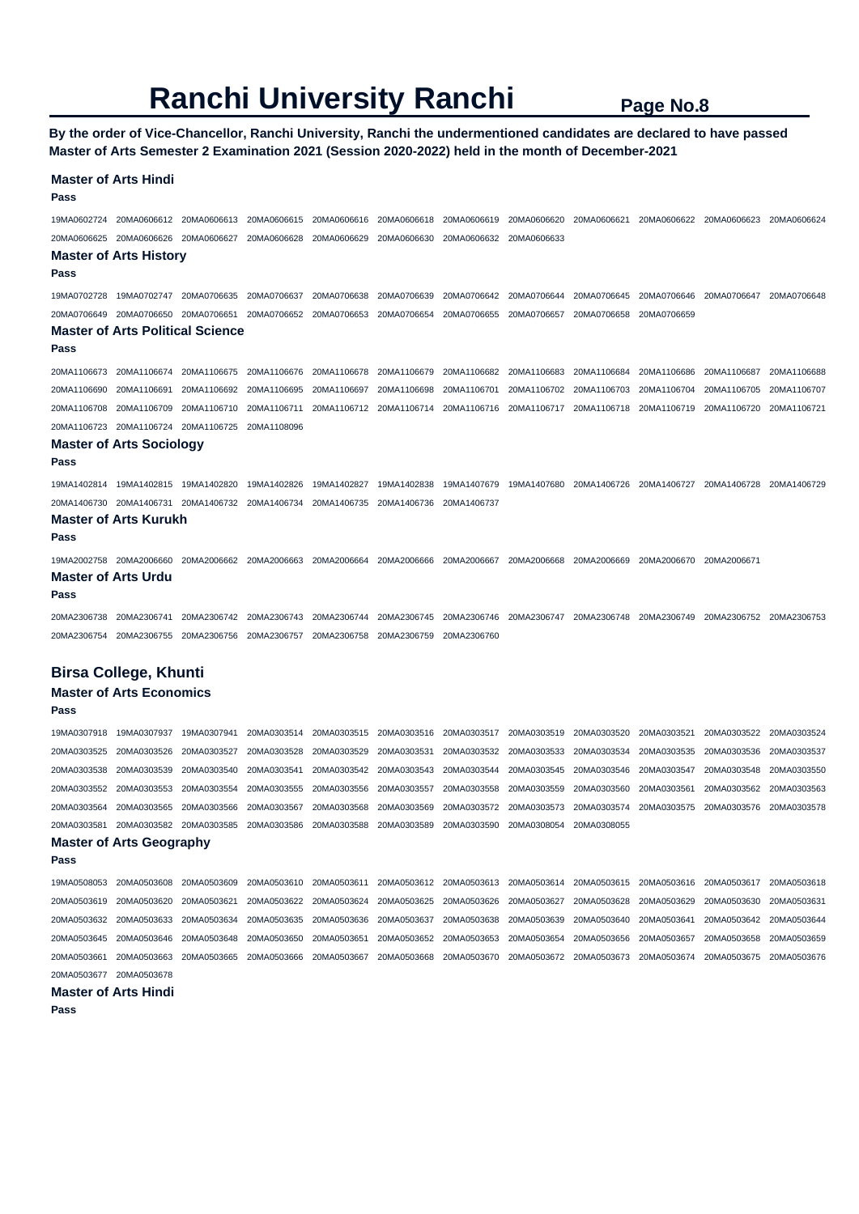**By the order of Vice-Chancellor, Ranchi University, Ranchi the undermentioned candidates are declared to have passed Master of Arts Semester 2 Examination 2021 (Session 2020-2022) held in the month of December-2021** 

### **Master of Arts Hindi Pass**  19MA0602724 20MA0606612 20MA0606613 20MA0606615 20MA0606616 20MA0606618 20MA0606619 20MA0606620 20MA0606621 20MA0606622 20MA0606623 20MA0606624 20MA0606625 20MA0606626 20MA0606627 20MA0606628 20MA0606629 20MA0606630 20MA0606632 20MA0606633 **Master of Arts History Pass**  19MA0702728 19MA0702747 20MA0706635 20MA0706637 20MA0706638 20MA0706639 20MA0706642 20MA0706644 20MA0706645 20MA0706646 20MA0706647 20MA0706648 20MA0706649 20MA0706650 20MA0706651 20MA0706652 20MA0706653 20MA0706654 20MA0706655 20MA0706657 20MA0706658 20MA0706659 **Master of Arts Political Science Pass**  20MA1106673 20MA1106674 20MA1106675 20MA1106676 20MA1106678 20MA1106679 20MA1106682 20MA1106683 20MA1106684 20MA1106686 20MA1106687 20MA1106688 20MA1106690 20MA1106691 20MA1106692 20MA1106695 20MA1106697 20MA1106698 20MA1106701 20MA1106702 20MA1106703 20MA1106704 20MA1106705 20MA1106707 20MA1106708 20MA1106709 20MA1106710 20MA1106711 20MA1106712 20MA1106714 20MA1106716 20MA1106717 20MA1106718 20MA1106719 20MA1106720 20MA1106721 20MA1106723 20MA1106724 20MA1106725 20MA1108096 **Master of Arts Sociology Pass**  19MA1402814 19MA1402815 19MA1402820 19MA1402826 19MA1402827 19MA1402838 19MA1407679 19MA1407680 20MA1406726 20MA1406727 20MA1406728 20MA1406729 20MA1406730 20MA1406731 20MA1406732 20MA1406734 20MA1406735 20MA1406736 20MA1406737 **Master of Arts Kurukh Pass**  19MA2002758 20MA2006660 20MA2006662 20MA2006663 20MA2006664 20MA2006666 20MA2006667 20MA2006668 20MA2006669 20MA2006670 20MA2006671 **Master of Arts Urdu Pass**  20MA2306738 20MA2306741 20MA2306742 20MA2306743 20MA2306744 20MA2306745 20MA2306746 20MA2306747 20MA2306748 20MA2306749 20MA2306752 20MA2306753 20MA2306754 20MA2306755 20MA2306756 20MA2306757 20MA2306758 20MA2306759 20MA2306760 **Birsa College, Khunti Master of Arts Economics Pass**  19MA0307918 19MA0307937 19MA0307941 20MA0303514 20MA0303515 20MA0303516 20MA0303517 20MA0303519 20MA0303520 20MA0303521 20MA0303522 20MA0303524 20MA0303525 20MA0303526 20MA0303527 20MA0303528 20MA0303529 20MA0303531 20MA0303532 20MA0303533 20MA0303534 20MA0303535 20MA0303536 20MA0303537 20MA0303538 20MA0303539 20MA0303540 20MA0303541 20MA0303542 20MA0303543 20MA0303544 20MA0303545 20MA0303546 20MA0303547 20MA0303548 20MA0303550 20MA0303552 20MA0303553 20MA0303554 20MA0303555 20MA0303556 20MA0303557 20MA0303558 20MA0303559 20MA0303560 20MA0303561 20MA0303562 20MA0303563 20MA0303564 20MA0303565 20MA0303566 20MA0303567 20MA0303568 20MA0303569 20MA0303572 20MA0303573 20MA0303574 20MA0303575 20MA0303576 20MA0303578 20MA0303581 20MA0303582 20MA0303585 20MA0303586 20MA0303588 20MA0303589 20MA0303590 20MA0308054 20MA0308055 **Master of Arts Geography Pass**

19MA0508053 20MA0503608 20MA0503609 20MA0503610 20MA0503611 20MA0503612 20MA0503613 20MA0503614 20MA0503615 20MA0503616 20MA0503617 20MA0503618 20MA0503619 20MA0503620 20MA0503621 20MA0503622 20MA0503624 20MA0503625 20MA0503626 20MA0503627 20MA0503628 20MA0503629 20MA0503630 20MA0503631 20MA0503632 20MA0503633 20MA0503634 20MA0503635 20MA0503636 20MA0503637 20MA0503638 20MA0503639 20MA0503640 20MA0503641 20MA0503642 20MA0503644 20MA0503645 20MA0503646 20MA0503648 20MA0503650 20MA0503651 20MA0503652 20MA0503653 20MA0503654 20MA0503656 20MA0503657 20MA0503658 20MA0503659 20MA0503661 20MA0503663 20MA0503665 20MA0503666 20MA0503667 20MA0503668 20MA0503670 20MA0503672 20MA0503673 20MA0503674 20MA0503675 20MA0503676 20MA0503677 20MA0503678

**Master of Arts Hindi** 

**Pass**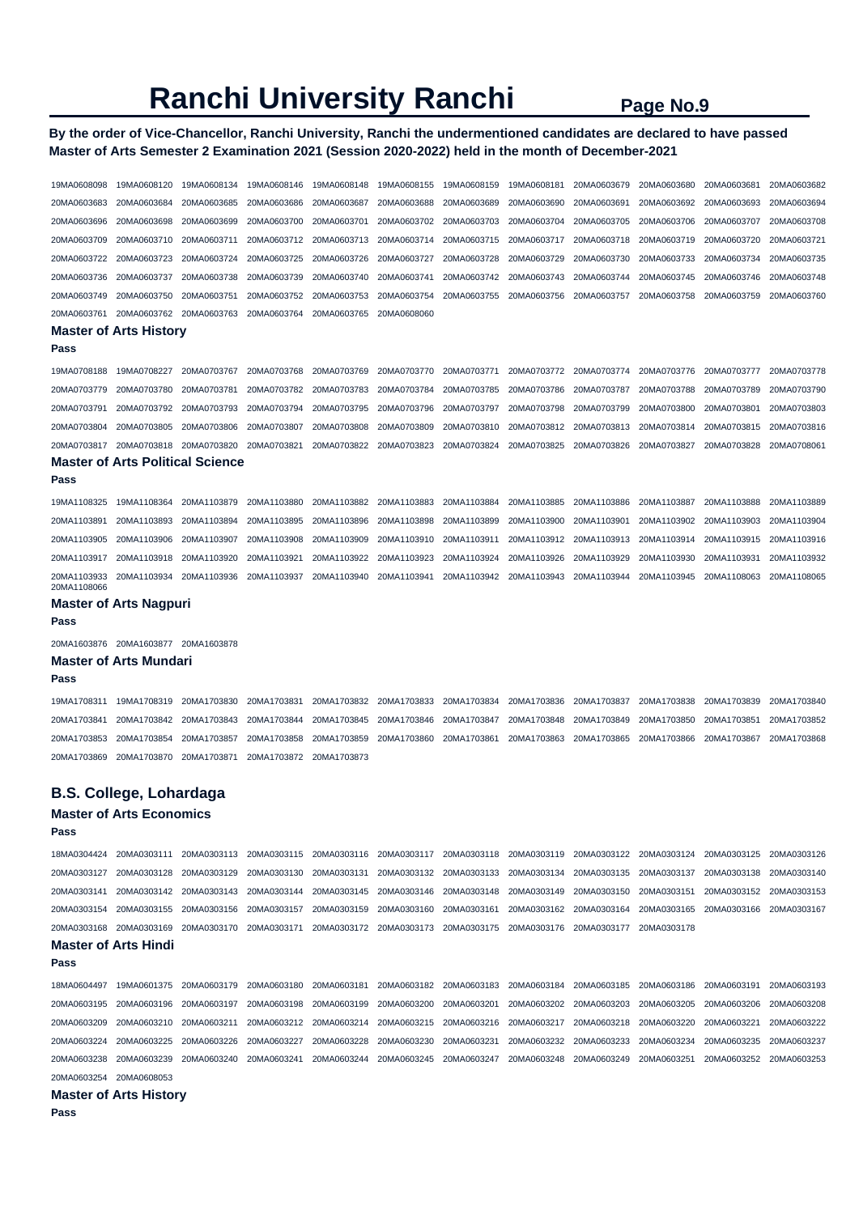### **By the order of Vice-Chancellor, Ranchi University, Ranchi the undermentioned candidates are declared to have passed Master of Arts Semester 2 Examination 2021 (Session 2020-2022) held in the month of December-2021**

| 19MA0608098                | 19MA0608120                                            | 19MA0608134                | 19MA0608146                | 19MA0608148                | 19MA0608155                | 19MA0608159                | 19MA0608181                | 20MA0603679                | 20MA0603680                | 20MA0603681                | 20MA0603682                |
|----------------------------|--------------------------------------------------------|----------------------------|----------------------------|----------------------------|----------------------------|----------------------------|----------------------------|----------------------------|----------------------------|----------------------------|----------------------------|
| 20MA0603683                | 20MA0603684                                            | 20MA0603685                | 20MA0603686                | 20MA0603687                | 20MA0603688                | 20MA0603689                | 20MA0603690                | 20MA0603691                | 20MA0603692                | 20MA0603693                | 20MA0603694                |
| 20MA0603696                | 20MA0603698                                            | 20MA0603699                | 20MA0603700                | 20MA0603701                | 20MA0603702                | 20MA0603703                | 20MA0603704                | 20MA0603705                | 20MA0603706                | 20MA0603707                | 20MA0603708                |
| 20MA0603709                | 20MA0603710                                            | 20MA0603711                | 20MA0603712                | 20MA0603713                | 20MA0603714                | 20MA0603715                | 20MA0603717                | 20MA0603718                | 20MA0603719                | 20MA0603720                | 20MA0603721                |
| 20MA0603722                | 20MA0603723                                            | 20MA0603724                | 20MA0603725                | 20MA0603726                | 20MA0603727                | 20MA0603728                | 20MA0603729                | 20MA0603730                | 20MA0603733                | 20MA0603734                | 20MA0603735                |
| 20MA0603736                | 20MA0603737                                            | 20MA0603738                | 20MA0603739                | 20MA0603740                | 20MA0603741                | 20MA0603742                | 20MA0603743                | 20MA0603744                | 20MA0603745                | 20MA0603746                | 20MA0603748                |
| 20MA0603749                | 20MA0603750                                            | 20MA0603751                | 20MA0603752                | 20MA0603753                | 20MA0603754                | 20MA0603755                | 20MA0603756                | 20MA0603757                | 20MA0603758                | 20MA0603759                | 20MA0603760                |
| 20MA0603761                | 20MA0603762                                            | 20MA0603763                | 20MA0603764                | 20MA0603765                | 20MA0608060                |                            |                            |                            |                            |                            |                            |
| Pass                       | <b>Master of Arts History</b>                          |                            |                            |                            |                            |                            |                            |                            |                            |                            |                            |
|                            |                                                        |                            |                            |                            |                            |                            |                            |                            |                            |                            |                            |
| 19MA0708188                | 19MA0708227                                            | 20MA0703767                | 20MA0703768                | 20MA0703769                | 20MA0703770                | 20MA0703771                | 20MA0703772                | 20MA0703774                | 20MA0703776                | 20MA0703777                | 20MA0703778                |
| 20MA0703779                | 20MA0703780<br>20MA0703792                             | 20MA0703781<br>20MA0703793 | 20MA0703782<br>20MA0703794 | 20MA0703783<br>20MA0703795 | 20MA0703784<br>20MA0703796 | 20MA0703785<br>20MA0703797 | 20MA0703786<br>20MA0703798 | 20MA0703787<br>20MA0703799 | 20MA0703788<br>20MA0703800 | 20MA0703789<br>20MA0703801 | 20MA0703790<br>20MA0703803 |
| 20MA0703791<br>20MA0703804 | 20MA0703805                                            | 20MA0703806                | 20MA0703807                | 20MA0703808                | 20MA0703809                | 20MA0703810                | 20MA0703812                | 20MA0703813                | 20MA0703814                | 20MA0703815                | 20MA0703816                |
|                            |                                                        |                            |                            |                            |                            |                            |                            |                            |                            |                            |                            |
| 20MA0703817                | 20MA0703818<br><b>Master of Arts Political Science</b> | 20MA0703820                | 20MA0703821                | 20MA0703822                | 20MA0703823                | 20MA0703824                | 20MA0703825                | 20MA0703826                | 20MA0703827                | 20MA0703828                | 20MA0708061                |
| Pass                       |                                                        |                            |                            |                            |                            |                            |                            |                            |                            |                            |                            |
| 19MA1108325                | 19MA1108364                                            | 20MA1103879                | 20MA1103880                | 20MA1103882                | 20MA1103883                | 20MA1103884                | 20MA1103885                | 20MA1103886                | 20MA1103887                | 20MA1103888                | 20MA1103889                |
| 20MA1103891                | 20MA1103893                                            | 20MA1103894                | 20MA1103895                | 20MA1103896                | 20MA1103898                | 20MA1103899                | 20MA1103900                | 20MA1103901                | 20MA1103902                | 20MA1103903                | 20MA1103904                |
| 20MA1103905                | 20MA1103906                                            | 20MA1103907                | 20MA1103908                | 20MA1103909                | 20MA1103910                | 20MA1103911                | 20MA1103912                | 20MA1103913                | 20MA1103914                | 20MA1103915                | 20MA1103916                |
| 20MA1103917                | 20MA1103918                                            | 20MA1103920                | 20MA1103921                | 20MA1103922                | 20MA1103923                | 20MA1103924                | 20MA1103926                | 20MA1103929                | 20MA1103930                | 20MA1103931                | 20MA1103932                |
| 20MA1103933                | 20MA1103934                                            | 20MA1103936                | 20MA1103937                | 20MA1103940                | 20MA1103941                | 20MA1103942                | 20MA1103943                | 20MA1103944                | 20MA1103945                | 20MA1108063                | 20MA1108065                |
| 20MA1108066                |                                                        |                            |                            |                            |                            |                            |                            |                            |                            |                            |                            |
| Pass                       | <b>Master of Arts Nagpuri</b>                          |                            |                            |                            |                            |                            |                            |                            |                            |                            |                            |
|                            | 20MA1603876 20MA1603877 20MA1603878                    |                            |                            |                            |                            |                            |                            |                            |                            |                            |                            |
| Pass                       | <b>Master of Arts Mundari</b>                          |                            |                            |                            |                            |                            |                            |                            |                            |                            |                            |
| 19MA1708311                | 19MA1708319                                            | 20MA1703830                | 20MA1703831                | 20MA1703832                | 20MA1703833                | 20MA1703834                | 20MA1703836                | 20MA1703837                | 20MA1703838                | 20MA1703839                | 20MA1703840                |
| 20MA1703841                | 20MA1703842                                            | 20MA1703843                | 20MA1703844                | 20MA1703845                | 20MA1703846                | 20MA1703847                | 20MA1703848                | 20MA1703849                | 20MA1703850                | 20MA1703851                | 20MA1703852                |
| 20MA1703853                | 20MA1703854                                            | 20MA1703857                | 20MA1703858                | 20MA1703859                | 20MA1703860                | 20MA1703861                | 20MA1703863                | 20MA1703865                | 20MA1703866                | 20MA1703867                | 20MA1703868                |
| 20MA1703869                | 20MA1703870                                            | 20MA1703871                | 20MA1703872                | 20MA1703873                |                            |                            |                            |                            |                            |                            |                            |
|                            | <b>B.S. College, Lohardaga</b>                         |                            |                            |                            |                            |                            |                            |                            |                            |                            |                            |
|                            | <b>Master of Arts Economics</b>                        |                            |                            |                            |                            |                            |                            |                            |                            |                            |                            |
| Pass                       |                                                        |                            |                            |                            |                            |                            |                            |                            |                            |                            |                            |
| 18MA0304424                | 20MA0303111                                            | 20MA0303113                | 20MA0303115                | 20MA0303116                | 20MA0303117                | 20MA0303118                | 20MA0303119                | 20MA0303122                | 20MA0303124                | 20MA0303125                | 20MA0303126                |
| 20MA0303127                | 20MA0303128                                            | 20MA0303129                | 20MA0303130                | 20MA0303131                | 20MA0303132                | 20MA0303133                | 20MA0303134                | 20MA0303135                | 20MA0303137                | 20MA0303138                | 20MA0303140                |
| 20MA0303141                | 20MA0303142                                            | 20MA0303143                | 20MA0303144                | 20MA0303145                | 20MA0303146                | 20MA0303148                | 20MA0303149                | 20MA0303150                | 20MA0303151                | 20MA0303152                | 20MA0303153                |
| 20MA0303154                | 20MA0303155 20MA0303156                                |                            | 20MA0303157                | 20MA0303159                | 20MA0303160                | 20MA0303161                | 20MA0303162                | 20MA0303164                | 20MA0303165                | 20MA0303166                | 20MA0303167                |
| 20MA0303168                | 20MA0303169                                            | 20MA0303170                | 20MA0303171                | 20MA0303172                | 20MA0303173                | 20MA0303175                | 20MA0303176                | 20MA0303177                | 20MA0303178                |                            |                            |
|                            | <b>Master of Arts Hindi</b>                            |                            |                            |                            |                            |                            |                            |                            |                            |                            |                            |
| Pass                       |                                                        |                            |                            |                            |                            |                            |                            |                            |                            |                            |                            |
| 18MA0604497                | 19MA0601375                                            | 20MA0603179                | 20MA0603180                | 20MA0603181                | 20MA0603182                | 20MA0603183                | 20MA0603184                | 20MA0603185                | 20MA0603186                | 20MA0603191                | 20MA0603193                |
| 20MA0603195                | 20MA0603196                                            | 20MA0603197                | 20MA0603198                | 20MA0603199                | 20MA0603200                | 20MA0603201                | 20MA0603202                | 20MA0603203                | 20MA0603205                | 20MA0603206                | 20MA0603208                |
| 20MA0603209                | 20MA0603210                                            | 20MA0603211                | 20MA0603212                | 20MA0603214                | 20MA0603215                | 20MA0603216                | 20MA0603217                | 20MA0603218                | 20MA0603220                | 20MA0603221                | 20MA0603222                |
| 20MA0603224                | 20MA0603225                                            | 20MA0603226                | 20MA0603227                | 20MA0603228                | 20MA0603230                | 20MA0603231                | 20MA0603232                | 20MA0603233                | 20MA0603234                | 20MA0603235                | 20MA0603237                |
| 20MA0603238                | 20MA0603239                                            | 20MA0603240                | 20MA0603241                | 20MA0603244                | 20MA0603245                | 20MA0603247                | 20MA0603248                | 20MA0603249                | 20MA0603251                | 20MA0603252                | 20MA0603253                |
| 20MA0603254                | 20MA0608053                                            |                            |                            |                            |                            |                            |                            |                            |                            |                            |                            |
|                            |                                                        |                            |                            |                            |                            |                            |                            |                            |                            |                            |                            |
|                            | <b>Master of Arts History</b>                          |                            |                            |                            |                            |                            |                            |                            |                            |                            |                            |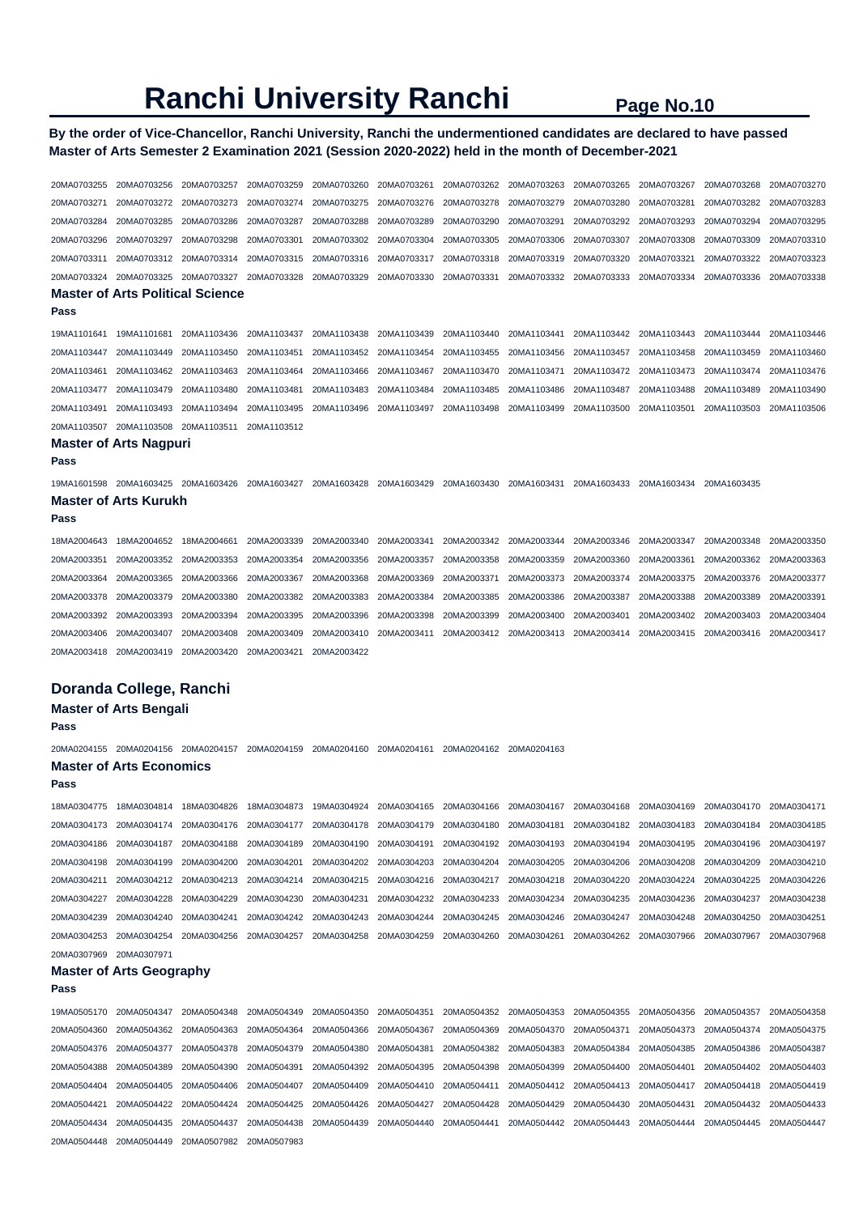20MA0504448 20MA0504449 20MA0507982 20MA0507983

### **By the order of Vice-Chancellor, Ranchi University, Ranchi the undermentioned candidates are declared to have passed Master of Arts Semester 2 Examination 2021 (Session 2020-2022) held in the month of December-2021**

| 20MA0703255                | 20MA0703256                             | 20MA0703257 | 20MA0703259 | 20MA0703260             | 20MA0703261 | 20MA0703262                         | 20MA0703263 | 20MA0703265 | 20MA0703267 | 20MA0703268             | 20MA0703270 |
|----------------------------|-----------------------------------------|-------------|-------------|-------------------------|-------------|-------------------------------------|-------------|-------------|-------------|-------------------------|-------------|
| 20MA0703271                | 20MA0703272                             | 20MA0703273 | 20MA0703274 | 20MA0703275             | 20MA0703276 | 20MA0703278                         | 20MA0703279 | 20MA0703280 | 20MA0703281 | 20MA0703282             | 20MA0703283 |
| 20MA0703284                | 20MA0703285                             | 20MA0703286 | 20MA0703287 | 20MA0703288             | 20MA0703289 | 20MA0703290                         | 20MA0703291 | 20MA0703292 | 20MA0703293 | 20MA0703294             | 20MA0703295 |
| 20MA0703296                | 20MA0703297                             | 20MA0703298 | 20MA0703301 | 20MA0703302             | 20MA0703304 | 20MA0703305                         | 20MA0703306 | 20MA0703307 | 20MA0703308 | 20MA0703309             | 20MA0703310 |
| 20MA0703311                | 20MA0703312                             | 20MA0703314 | 20MA0703315 | 20MA0703316             | 20MA0703317 | 20MA0703318                         | 20MA0703319 | 20MA0703320 | 20MA0703321 | 20MA0703322             | 20MA0703323 |
| 20MA0703324                | 20MA0703325                             | 20MA0703327 | 20MA0703328 | 20MA0703329             | 20MA0703330 | 20MA0703331                         | 20MA0703332 | 20MA0703333 | 20MA0703334 | 20MA0703336             | 20MA0703338 |
|                            | <b>Master of Arts Political Science</b> |             |             |                         |             |                                     |             |             |             |                         |             |
| Pass                       |                                         |             |             |                         |             |                                     |             |             |             |                         |             |
| 19MA1101641                | 19MA1101681                             | 20MA1103436 | 20MA1103437 | 20MA1103438             | 20MA1103439 | 20MA1103440                         | 20MA1103441 | 20MA1103442 | 20MA1103443 | 20MA1103444             | 20MA1103446 |
| 20MA1103447                | 20MA1103449                             | 20MA1103450 | 20MA1103451 | 20MA1103452             | 20MA1103454 | 20MA1103455                         | 20MA1103456 | 20MA1103457 | 20MA1103458 | 20MA1103459             | 20MA1103460 |
| 20MA1103461                | 20MA1103462                             | 20MA1103463 | 20MA1103464 | 20MA1103466             | 20MA1103467 | 20MA1103470                         | 20MA1103471 | 20MA1103472 | 20MA1103473 | 20MA1103474             | 20MA1103476 |
| 20MA1103477                | 20MA1103479                             | 20MA1103480 | 20MA1103481 | 20MA1103483             | 20MA1103484 | 20MA1103485                         | 20MA1103486 | 20MA1103487 | 20MA1103488 | 20MA1103489             | 20MA1103490 |
| 20MA1103491                | 20MA1103493                             | 20MA1103494 | 20MA1103495 | 20MA1103496             | 20MA1103497 | 20MA1103498                         | 20MA1103499 | 20MA1103500 | 20MA1103501 | 20MA1103503             | 20MA1103506 |
| 20MA1103507                | 20MA1103508 20MA1103511                 |             | 20MA1103512 |                         |             |                                     |             |             |             |                         |             |
|                            | <b>Master of Arts Nagpuri</b>           |             |             |                         |             |                                     |             |             |             |                         |             |
| Pass                       |                                         |             |             |                         |             |                                     |             |             |             |                         |             |
| 19MA1601598                | 20MA1603425 20MA1603426                 |             | 20MA1603427 | 20MA1603428             | 20MA1603429 | 20MA1603430                         | 20MA1603431 | 20MA1603433 | 20MA1603434 | 20MA1603435             |             |
|                            | <b>Master of Arts Kurukh</b>            |             |             |                         |             |                                     |             |             |             |                         |             |
| Pass                       |                                         |             |             |                         |             |                                     |             |             |             |                         |             |
| 18MA2004643                | 18MA2004652                             | 18MA2004661 | 20MA2003339 | 20MA2003340             | 20MA2003341 | 20MA2003342                         | 20MA2003344 | 20MA2003346 | 20MA2003347 | 20MA2003348             | 20MA2003350 |
| 20MA2003351                | 20MA2003352                             | 20MA2003353 | 20MA2003354 | 20MA2003356             | 20MA2003357 | 20MA2003358                         | 20MA2003359 | 20MA2003360 | 20MA2003361 | 20MA2003362             | 20MA2003363 |
| 20MA2003364                | 20MA2003365                             | 20MA2003366 | 20MA2003367 | 20MA2003368             | 20MA2003369 | 20MA2003371                         | 20MA2003373 | 20MA2003374 | 20MA2003375 | 20MA2003376             | 20MA2003377 |
| 20MA2003378                | 20MA2003379                             | 20MA2003380 | 20MA2003382 | 20MA2003383             | 20MA2003384 | 20MA2003385                         | 20MA2003386 | 20MA2003387 | 20MA2003388 | 20MA2003389             | 20MA2003391 |
| 20MA2003392                | 20MA2003393                             | 20MA2003394 | 20MA2003395 | 20MA2003396             | 20MA2003398 | 20MA2003399                         | 20MA2003400 | 20MA2003401 | 20MA2003402 | 20MA2003403             | 20MA2003404 |
| 20MA2003406                | 20MA2003407                             | 20MA2003408 | 20MA2003409 | 20MA2003410             | 20MA2003411 | 20MA2003412                         | 20MA2003413 | 20MA2003414 | 20MA2003415 | 20MA2003416             | 20MA2003417 |
| 20MA2003418                | 20MA2003419                             | 20MA2003420 | 20MA2003421 | 20MA2003422             |             |                                     |             |             |             |                         |             |
|                            |                                         |             |             |                         |             |                                     |             |             |             |                         |             |
|                            | Doranda College, Ranchi                 |             |             |                         |             |                                     |             |             |             |                         |             |
|                            | <b>Master of Arts Bengali</b>           |             |             |                         |             |                                     |             |             |             |                         |             |
| Pass                       |                                         |             |             |                         |             |                                     |             |             |             |                         |             |
| 20MA0204155                | 20MA0204156 20MA0204157                 |             | 20MA0204159 | 20MA0204160             | 20MA0204161 | 20MA0204162 20MA0204163             |             |             |             |                         |             |
|                            | <b>Master of Arts Economics</b>         |             |             |                         |             |                                     |             |             |             |                         |             |
| Pass                       |                                         |             |             |                         |             |                                     |             |             |             |                         |             |
|                            |                                         |             |             |                         |             |                                     |             |             |             |                         |             |
| 18MA0304775                | 18MA0304814 18MA0304826                 |             |             | 18MA0304873 19MA0304924 |             | 20MA0304165 20MA0304166 20MA0304167 |             | 20MA0304168 | 20MA0304169 | 20MA0304170 20MA0304171 |             |
| 20MA0304173                | 20MA0304174                             | 20MA0304176 | 20MA0304177 | 20MA0304178             | 20MA0304179 | 20MA0304180                         | 20MA0304181 | 20MA0304182 | 20MA0304183 | 20MA0304184             | 20MA0304185 |
| 20MA0304186                | 20MA0304187                             | 20MA0304188 | 20MA0304189 | 20MA0304190             | 20MA0304191 | 20MA0304192                         | 20MA0304193 | 20MA0304194 | 20MA0304195 | 20MA0304196             | 20MA0304197 |
| 20MA0304198                | 20MA0304199                             | 20MA0304200 | 20MA0304201 | 20MA0304202             | 20MA0304203 | 20MA0304204                         | 20MA0304205 | 20MA0304206 | 20MA0304208 | 20MA0304209             | 20MA0304210 |
| 20MA0304211<br>20MA0304227 | 20MA0304212                             | 20MA0304213 | 20MA0304214 | 20MA0304215             | 20MA0304216 | 20MA0304217                         | 20MA0304218 | 20MA0304220 | 20MA0304224 | 20MA0304225             | 20MA0304226 |
| 20MA0304239                | 20MA0304228<br>20MA0304240              | 20MA0304229 | 20MA0304230 | 20MA0304231             | 20MA0304232 | 20MA0304233<br>20MA0304245          | 20MA0304234 | 20MA0304235 | 20MA0304236 | 20MA0304237             | 20MA0304238 |
|                            |                                         | 20MA0304241 | 20MA0304242 | 20MA0304243             | 20MA0304244 |                                     | 20MA0304246 | 20MA0304247 | 20MA0304248 | 20MA0304250             | 20MA0304251 |
| 20MA0304253                | 20MA0304254                             | 20MA0304256 | 20MA0304257 | 20MA0304258             | 20MA0304259 | 20MA0304260                         | 20MA0304261 | 20MA0304262 | 20MA0307966 | 20MA0307967             | 20MA0307968 |
| 20MA0307969                | 20MA0307971                             |             |             |                         |             |                                     |             |             |             |                         |             |
| Pass                       | <b>Master of Arts Geography</b>         |             |             |                         |             |                                     |             |             |             |                         |             |
|                            |                                         |             |             |                         |             |                                     |             |             |             |                         |             |
| 19MA0505170                | 20MA0504347                             | 20MA0504348 | 20MA0504349 | 20MA0504350             | 20MA0504351 | 20MA0504352                         | 20MA0504353 | 20MA0504355 | 20MA0504356 | 20MA0504357             | 20MA0504358 |
| 20MA0504360                | 20MA0504362                             | 20MA0504363 | 20MA0504364 | 20MA0504366             | 20MA0504367 | 20MA0504369                         | 20MA0504370 | 20MA0504371 | 20MA0504373 | 20MA0504374             | 20MA0504375 |
| 20MA0504376                | 20MA0504377                             | 20MA0504378 | 20MA0504379 | 20MA0504380             | 20MA0504381 | 20MA0504382                         | 20MA0504383 | 20MA0504384 | 20MA0504385 | 20MA0504386             | 20MA0504387 |
| 20MA0504388                | 20MA0504389                             | 20MA0504390 | 20MA0504391 | 20MA0504392             | 20MA0504395 | 20MA0504398                         | 20MA0504399 | 20MA0504400 | 20MA0504401 | 20MA0504402             | 20MA0504403 |
| 20MA0504404                | 20MA0504405                             | 20MA0504406 | 20MA0504407 | 20MA0504409             | 20MA0504410 | 20MA0504411                         | 20MA0504412 | 20MA0504413 | 20MA0504417 | 20MA0504418             | 20MA0504419 |
| 20MA0504421                | 20MA0504422                             | 20MA0504424 | 20MA0504425 | 20MA0504426             | 20MA0504427 | 20MA0504428                         | 20MA0504429 | 20MA0504430 | 20MA0504431 | 20MA0504432             | 20MA0504433 |
| 20MA0504434                | 20MA0504435                             | 20MA0504437 | 20MA0504438 | 20MA0504439             | 20MA0504440 | 20MA0504441                         | 20MA0504442 | 20MA0504443 | 20MA0504444 | 20MA0504445             | 20MA0504447 |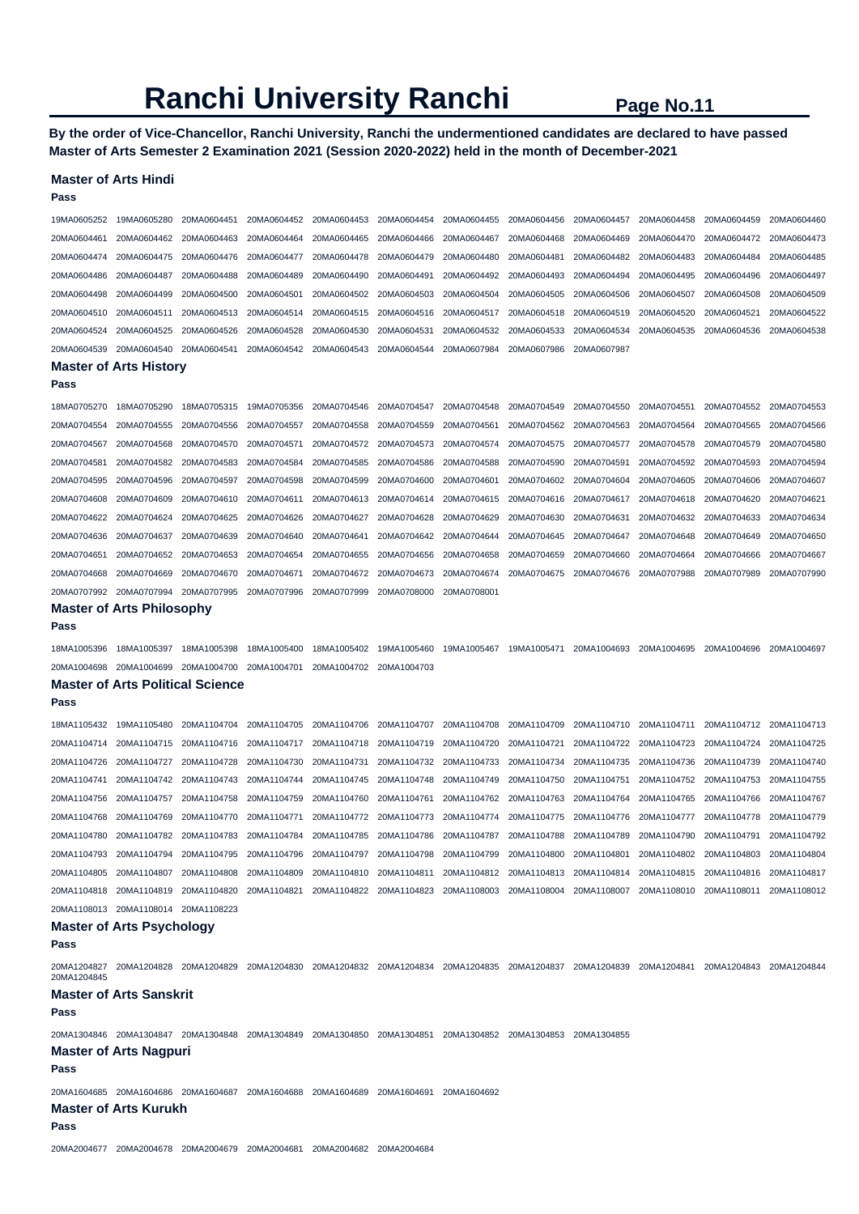**By the order of Vice-Chancellor, Ranchi University, Ranchi the undermentioned candidates are declared to have passed Master of Arts Semester 2 Examination 2021 (Session 2020-2022) held in the month of December-2021** 

#### **Master of Arts Hindi**

| Pass        |                                                                                                                                                 |                                                                                   |             |             |             |             |             |             |             |                                                                         |             |
|-------------|-------------------------------------------------------------------------------------------------------------------------------------------------|-----------------------------------------------------------------------------------|-------------|-------------|-------------|-------------|-------------|-------------|-------------|-------------------------------------------------------------------------|-------------|
| 19MA0605252 | 19MA0605280                                                                                                                                     | 20MA0604451                                                                       | 20MA0604452 | 20MA0604453 | 20MA0604454 | 20MA0604455 | 20MA0604456 | 20MA0604457 | 20MA0604458 | 20MA0604459                                                             | 20MA0604460 |
| 20MA0604461 | 20MA0604462                                                                                                                                     | 20MA0604463                                                                       | 20MA0604464 | 20MA0604465 | 20MA0604466 | 20MA0604467 | 20MA0604468 | 20MA0604469 | 20MA0604470 | 20MA0604472                                                             | 20MA0604473 |
| 20MA0604474 | 20MA0604475                                                                                                                                     | 20MA0604476                                                                       | 20MA0604477 | 20MA0604478 | 20MA0604479 | 20MA0604480 | 20MA0604481 | 20MA0604482 | 20MA0604483 | 20MA0604484                                                             | 20MA0604485 |
| 20MA0604486 | 20MA0604487                                                                                                                                     | 20MA0604488                                                                       | 20MA0604489 | 20MA0604490 | 20MA0604491 | 20MA0604492 | 20MA0604493 | 20MA0604494 | 20MA0604495 | 20MA0604496                                                             | 20MA0604497 |
| 20MA0604498 | 20MA0604499                                                                                                                                     | 20MA0604500                                                                       | 20MA0604501 | 20MA0604502 | 20MA0604503 | 20MA0604504 | 20MA0604505 | 20MA0604506 | 20MA0604507 | 20MA0604508                                                             | 20MA0604509 |
| 20MA0604510 | 20MA0604511                                                                                                                                     | 20MA0604513                                                                       | 20MA0604514 | 20MA0604515 | 20MA0604516 | 20MA0604517 | 20MA0604518 | 20MA0604519 | 20MA0604520 | 20MA0604521                                                             | 20MA0604522 |
| 20MA0604524 | 20MA0604525                                                                                                                                     | 20MA0604526                                                                       | 20MA0604528 | 20MA0604530 | 20MA0604531 | 20MA0604532 | 20MA0604533 | 20MA0604534 | 20MA0604535 | 20MA0604536                                                             | 20MA0604538 |
| 20MA0604539 | 20MA0604540                                                                                                                                     | 20MA0604541                                                                       | 20MA0604542 | 20MA0604543 | 20MA0604544 | 20MA0607984 | 20MA0607986 | 20MA0607987 |             |                                                                         |             |
|             | <b>Master of Arts History</b>                                                                                                                   |                                                                                   |             |             |             |             |             |             |             |                                                                         |             |
| Pass        |                                                                                                                                                 |                                                                                   |             |             |             |             |             |             |             |                                                                         |             |
| 18MA0705270 | 18MA0705290                                                                                                                                     | 18MA0705315                                                                       | 19MA0705356 | 20MA0704546 | 20MA0704547 | 20MA0704548 | 20MA0704549 | 20MA0704550 | 20MA0704551 | 20MA0704552                                                             | 20MA0704553 |
| 20MA0704554 | 20MA0704555                                                                                                                                     | 20MA0704556                                                                       | 20MA0704557 | 20MA0704558 | 20MA0704559 | 20MA0704561 | 20MA0704562 | 20MA0704563 | 20MA0704564 | 20MA0704565                                                             | 20MA0704566 |
| 20MA0704567 | 20MA0704568                                                                                                                                     | 20MA0704570                                                                       | 20MA0704571 | 20MA0704572 | 20MA0704573 | 20MA0704574 | 20MA0704575 | 20MA0704577 | 20MA0704578 | 20MA0704579                                                             | 20MA0704580 |
| 20MA0704581 | 20MA0704582                                                                                                                                     | 20MA0704583                                                                       | 20MA0704584 | 20MA0704585 | 20MA0704586 | 20MA0704588 | 20MA0704590 | 20MA0704591 | 20MA0704592 | 20MA0704593                                                             | 20MA0704594 |
| 20MA0704595 | 20MA0704596                                                                                                                                     | 20MA0704597                                                                       | 20MA0704598 | 20MA0704599 | 20MA0704600 | 20MA0704601 | 20MA0704602 | 20MA0704604 | 20MA0704605 | 20MA0704606                                                             | 20MA0704607 |
| 20MA0704608 | 20MA0704609                                                                                                                                     | 20MA0704610                                                                       | 20MA0704611 | 20MA0704613 | 20MA0704614 | 20MA0704615 | 20MA0704616 | 20MA0704617 | 20MA0704618 | 20MA0704620                                                             | 20MA0704621 |
| 20MA0704622 | 20MA0704624                                                                                                                                     | 20MA0704625                                                                       | 20MA0704626 | 20MA0704627 | 20MA0704628 | 20MA0704629 | 20MA0704630 | 20MA0704631 | 20MA0704632 | 20MA0704633                                                             | 20MA0704634 |
| 20MA0704636 | 20MA0704637                                                                                                                                     | 20MA0704639                                                                       | 20MA0704640 | 20MA0704641 | 20MA0704642 | 20MA0704644 | 20MA0704645 | 20MA0704647 | 20MA0704648 | 20MA0704649                                                             | 20MA0704650 |
| 20MA0704651 | 20MA0704652                                                                                                                                     | 20MA0704653                                                                       | 20MA0704654 | 20MA0704655 | 20MA0704656 | 20MA0704658 | 20MA0704659 | 20MA0704660 | 20MA0704664 | 20MA0704666                                                             | 20MA0704667 |
| 20MA0704668 | 20MA0704669                                                                                                                                     | 20MA0704670                                                                       | 20MA0704671 | 20MA0704672 | 20MA0704673 | 20MA0704674 | 20MA0704675 | 20MA0704676 | 20MA0707988 | 20MA0707989                                                             | 20MA0707990 |
| 20MA0707992 | 20MA0707994                                                                                                                                     | 20MA0707995                                                                       | 20MA0707996 | 20MA0707999 | 20MA0708000 | 20MA0708001 |             |             |             |                                                                         |             |
|             | <b>Master of Arts Philosophy</b>                                                                                                                |                                                                                   |             |             |             |             |             |             |             |                                                                         |             |
| Pass        |                                                                                                                                                 |                                                                                   |             |             |             |             |             |             |             |                                                                         |             |
| 18MA1005396 | 18MA1005397                                                                                                                                     | 18MA1005398                                                                       | 18MA1005400 | 18MA1005402 | 19MA1005460 | 19MA1005467 | 19MA1005471 | 20MA1004693 | 20MA1004695 | 20MA1004696                                                             | 20MA1004697 |
| 20MA1004698 | 20MA1004699 20MA1004700                                                                                                                         |                                                                                   | 20MA1004701 | 20MA1004702 | 20MA1004703 |             |             |             |             |                                                                         |             |
|             | <b>Master of Arts Political Science</b>                                                                                                         |                                                                                   |             |             |             |             |             |             |             |                                                                         |             |
| Pass        |                                                                                                                                                 |                                                                                   |             |             |             |             |             |             |             |                                                                         |             |
| 18MA1105432 | 19MA1105480                                                                                                                                     | 20MA1104704                                                                       | 20MA1104705 | 20MA1104706 | 20MA1104707 | 20MA1104708 | 20MA1104709 | 20MA1104710 | 20MA1104711 | 20MA1104712                                                             | 20MA1104713 |
| 20MA1104714 | 20MA1104715                                                                                                                                     | 20MA1104716                                                                       | 20MA1104717 | 20MA1104718 | 20MA1104719 | 20MA1104720 | 20MA1104721 | 20MA1104722 | 20MA1104723 | 20MA1104724                                                             | 20MA1104725 |
| 20MA1104726 | 20MA1104727                                                                                                                                     | 20MA1104728                                                                       | 20MA1104730 | 20MA1104731 | 20MA1104732 | 20MA1104733 | 20MA1104734 | 20MA1104735 | 20MA1104736 | 20MA1104739                                                             | 20MA1104740 |
| 20MA1104741 | 20MA1104742                                                                                                                                     | 20MA1104743                                                                       | 20MA1104744 | 20MA1104745 | 20MA1104748 | 20MA1104749 | 20MA1104750 | 20MA1104751 | 20MA1104752 | 20MA1104753                                                             | 20MA1104755 |
| 20MA1104756 | 20MA1104757                                                                                                                                     | 20MA1104758                                                                       | 20MA1104759 | 20MA1104760 | 20MA1104761 | 20MA1104762 | 20MA1104763 | 20MA1104764 | 20MA1104765 | 20MA1104766                                                             | 20MA1104767 |
| 20MA1104768 | 20MA1104769                                                                                                                                     | 20MA1104770                                                                       | 20MA1104771 | 20MA1104772 | 20MA1104773 | 20MA1104774 | 20MA1104775 | 20MA1104776 | 20MA1104777 | 20MA1104778                                                             | 20MA1104779 |
| 20MA1104780 | 20MA1104782                                                                                                                                     | 20MA1104783                                                                       | 20MA1104784 | 20MA1104785 | 20MA1104786 | 20MA1104787 | 20MA1104788 | 20MA1104789 | 20MA1104790 | 20MA1104791                                                             | 20MA1104792 |
|             | 20MA1104793 20MA1104794 20MA1104795 20MA1104796 20MA1104797 20MA1104798 20MA1104799 20MA1104800 20MA1104801 20MA1104802 20MA1104803 20MA1104804 |                                                                                   |             |             |             |             |             |             |             |                                                                         |             |
|             |                                                                                                                                                 |                                                                                   |             |             |             |             |             |             |             | 20MA1104812 20MA1104813 20MA1104814 20MA1104815 20MA1104816 20MA1104817 |             |
|             | 20MA1104818 20MA1104819 20MA1104820 20MA1104821 20MA1104822 20MA1104823 20MA1108003 20MA1108004 20MA1108007 20MA1108010 20MA1108011 20MA1108012 |                                                                                   |             |             |             |             |             |             |             |                                                                         |             |
|             | 20MA1108013 20MA1108014 20MA1108223                                                                                                             |                                                                                   |             |             |             |             |             |             |             |                                                                         |             |
| Pass        | <b>Master of Arts Psychology</b>                                                                                                                |                                                                                   |             |             |             |             |             |             |             |                                                                         |             |
| 20MA1204845 | 20MA1204827 20MA1204828 20MA1204829 20MA1204830 20MA1204832 20MA1204834 20MA1204835 20MA1204837 20MA1204839 20MA1204841 20MA1204843 20MA1204843 |                                                                                   |             |             |             |             |             |             |             |                                                                         |             |
| Pass        | <b>Master of Arts Sanskrit</b>                                                                                                                  |                                                                                   |             |             |             |             |             |             |             |                                                                         |             |
|             | 20MA1304846 20MA1304847 20MA1304848 20MA1304849 20MA1304850 20MA1304851 20MA1304852 20MA1304853 20MA1304855                                     |                                                                                   |             |             |             |             |             |             |             |                                                                         |             |
| Pass        | <b>Master of Arts Nagpuri</b>                                                                                                                   |                                                                                   |             |             |             |             |             |             |             |                                                                         |             |
|             | 20MA1604685 20MA1604686 20MA1604687 20MA1604688 20MA1604689 20MA1604691 20MA1604692                                                             |                                                                                   |             |             |             |             |             |             |             |                                                                         |             |
| Pass        | <b>Master of Arts Kurukh</b>                                                                                                                    |                                                                                   |             |             |             |             |             |             |             |                                                                         |             |
|             |                                                                                                                                                 | 20MA2004677   20MA2004678   20MA2004679   20MA2004681   20MA2004682   20MA2004684 |             |             |             |             |             |             |             |                                                                         |             |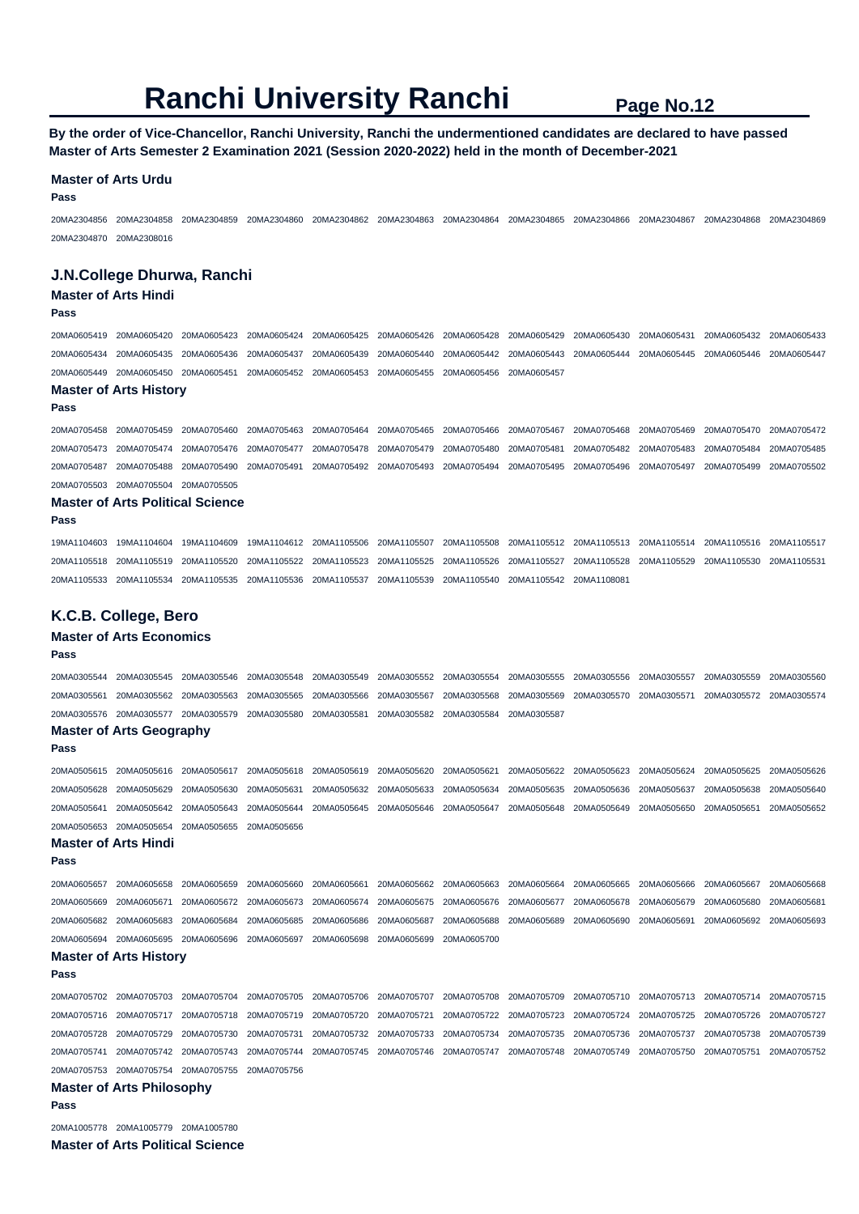**By the order of Vice-Chancellor, Ranchi University, Ranchi the undermentioned candidates are declared to have passed Master of Arts Semester 2 Examination 2021 (Session 2020-2022) held in the month of December-2021** 

#### **Master of Arts Urdu**

**Pass** 

20MA2304856 20MA2304858 20MA2304859 20MA2304860 20MA2304862 20MA2304863 20MA2304864 20MA2304865 20MA2304866 20MA2304867 20MA2304868 20MA2304869 20MA2304870 20MA2308016

#### **J.N.College Dhurwa, Ranchi**

#### **Master of Arts Hindi**

**Pass** 

**Pass** 

20MA0605419 20MA0605420 20MA0605423 20MA0605424 20MA0605425 20MA0605426 20MA0605428 20MA0605429 20MA0605430 20MA0605431 20MA0605432 20MA0605433 20MA0605434 20MA0605435 20MA0605436 20MA0605437 20MA0605439 20MA0605440 20MA0605442 20MA0605443 20MA0605444 20MA0605445 20MA0605446 20MA0605447 20MA0605449 20MA0605450 20MA0605451 20MA0605452 20MA0605453 20MA0605455 20MA0605456 20MA0605457

### **Master of Arts History**

20MA0705458 20MA0705459 20MA0705460 20MA0705463 20MA0705464 20MA0705465 20MA0705466 20MA0705467 20MA0705468 20MA0705469 20MA0705470 20MA0705472 20MA0705473 20MA0705474 20MA0705476 20MA0705477 20MA0705478 20MA0705479 20MA0705480 20MA0705481 20MA0705482 20MA0705483 20MA0705484 20MA0705485 20MA0705487 20MA0705488 20MA0705490 20MA0705491 20MA0705492 20MA0705493 20MA0705494 20MA0705495 20MA0705496 20MA0705497 20MA0705499 20MA0705502 20MA0705503 20MA0705504 20MA0705505

#### **Master of Arts Political Science**

**Pass** 

**Pass** 

19MA1104603 19MA1104604 19MA1104609 19MA1104612 20MA1105506 20MA1105507 20MA1105508 20MA1105512 20MA1105513 20MA1105514 20MA1105516 20MA1105517 20MA1105518 20MA1105519 20MA1105520 20MA1105522 20MA1105523 20MA1105525 20MA1105526 20MA1105527 20MA1105528 20MA1105529 20MA1105530 20MA1105531 20MA1105533 20MA1105534 20MA1105535 20MA1105536 20MA1105537 20MA1105539 20MA1105540 20MA1105542 20MA1108081

#### **K.C.B. College, Bero**

#### **Master of Arts Economics**

20MA0305544 20MA0305545 20MA0305546 20MA0305548 20MA0305549 20MA0305552 20MA0305554 20MA0305555 20MA0305556 20MA0305557 20MA0305559 20MA0305560 20MA0305561 20MA0305562 20MA0305563 20MA0305565 20MA0305566 20MA0305567 20MA0305568 20MA0305569 20MA0305570 20MA0305571 20MA0305572 20MA0305574 20MA0305576 20MA0305577 20MA0305579 20MA0305580 20MA0305581 20MA0305582 20MA0305584 20MA0305587 **Master of Arts Geography Pass**  20MA0505615 20MA0505616 20MA0505617 20MA0505618 20MA0505619 20MA0505620 20MA0505621 20MA0505622 20MA0505623 20MA0505624 20MA0505625 20MA0505626 20MA0505628 20MA0505629 20MA0505630 20MA0505631 20MA0505632 20MA0505633 20MA0505634 20MA0505635 20MA0505636 20MA0505637 20MA0505638 20MA0505640 20MA0505641 20MA0505642 20MA0505643 20MA0505644 20MA0505645 20MA0505646 20MA0505647 20MA0505648 20MA0505649 20MA0505650 20MA0505651 20MA0505652 20MA0505653 20MA0505654 20MA0505655 20MA0505656 **Master of Arts Hindi Pass**  20MA0605657 20MA0605658 20MA0605659 20MA0605660 20MA0605661 20MA0605662 20MA0605663 20MA0605664 20MA0605665 20MA0605666 20MA0605667 20MA0605668 20MA0605669 20MA0605671 20MA0605672 20MA0605673 20MA0605674 20MA0605675 20MA0605676 20MA0605677 20MA0605678 20MA0605679 20MA0605680 20MA0605681 20MA0605682 20MA0605683 20MA0605684 20MA0605685 20MA0605686 20MA0605687 20MA0605688 20MA0605689 20MA0605690 20MA0605691 20MA0605692 20MA0605693 20MA0605694 20MA0605695 20MA0605696 20MA0605697 20MA0605698 20MA0605699 20MA0605700 **Master of Arts History Pass**  20MA0705702 20MA0705703 20MA0705704 20MA0705705 20MA0705706 20MA0705707 20MA0705708 20MA0705709 20MA0705710 20MA0705713 20MA0705714 20MA0705715 20MA0705716 20MA0705717 20MA0705718 20MA0705719 20MA0705720 20MA0705721 20MA0705722 20MA0705723 20MA0705724 20MA0705725 20MA0705726 20MA0705727 20MA0705728 20MA0705729 20MA0705730 20MA0705731 20MA0705732 20MA0705733 20MA0705734 20MA0705735 20MA0705736 20MA0705737 20MA0705738 20MA0705739 20MA0705741 20MA0705742 20MA0705743 20MA0705744 20MA0705745 20MA0705746 20MA0705747 20MA0705748 20MA0705749 20MA0705750 20MA0705751 20MA0705752

20MA0705753 20MA0705754 20MA0705755 20MA0705756 **Master of Arts Philosophy** 

#### **Pass**

20MA1005778 20MA1005779 20MA1005780

**Master of Arts Political Science**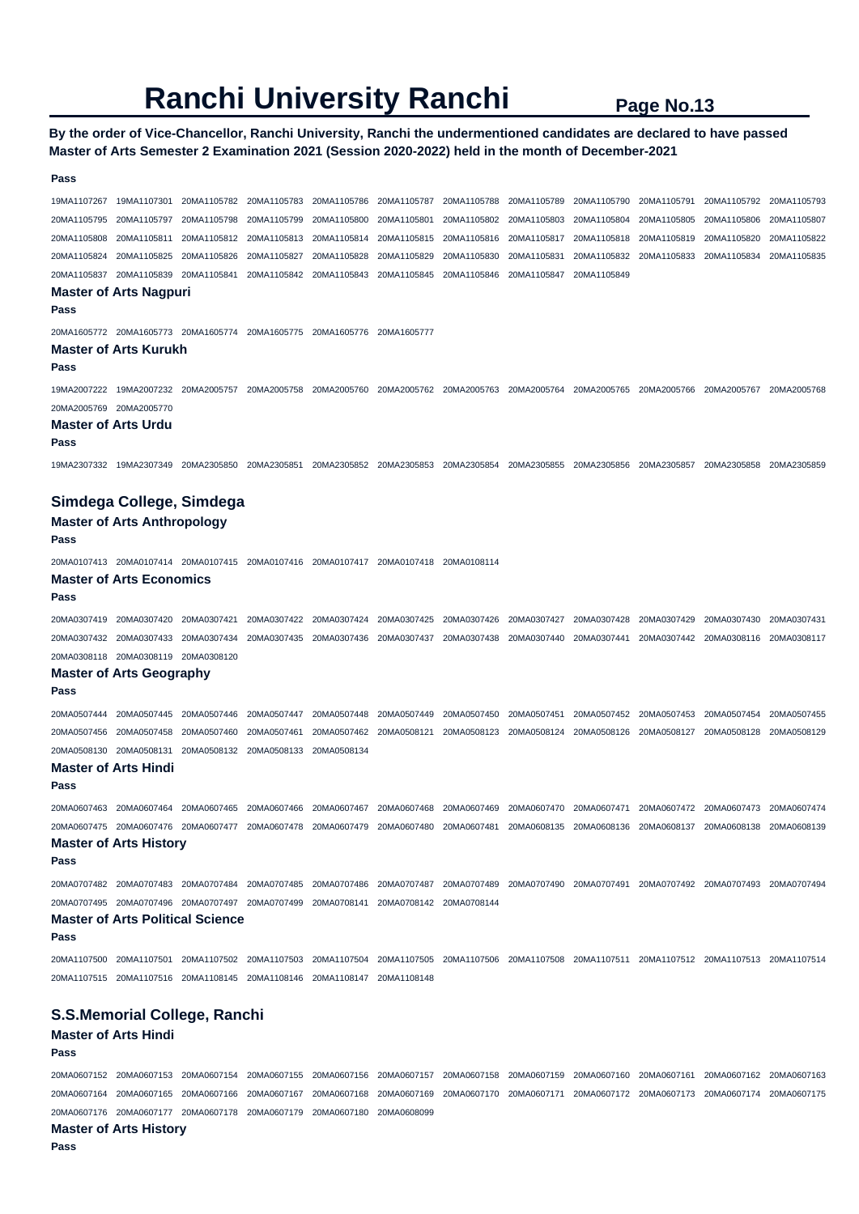#### **By the order of Vice-Chancellor, Ranchi University, Ranchi the undermentioned candidates are declared to have passed Master of Arts Semester 2 Examination 2021 (Session 2020-2022) held in the month of December-2021**

## 19MA1107267 19MA1107301 20MA1105782 20MA1105783 20MA1105786 20MA1105787 20MA1105788 20MA1105789 20MA1105790 20MA1105791 20MA1105792 20MA1105793 20MA1105795 20MA1105797 20MA1105798 20MA1105799 20MA1105800 20MA1105801 20MA1105802 20MA1105803 20MA1105804 20MA1105805 20MA1105806 20MA1105807 20MA1105808 20MA1105811 20MA1105812 20MA1105813 20MA1105814 20MA1105815 20MA1105816 20MA1105817 20MA1105818 20MA1105819 20MA1105820 20MA1105822 20MA1105824 20MA1105825 20MA1105826 20MA1105827 20MA1105828 20MA1105829 20MA1105830 20MA1105831 20MA1105832 20MA1105833 20MA1105834 20MA1105835 20MA1105837 20MA1105839 20MA1105841 20MA1105842 20MA1105843 20MA1105845 20MA1105846 20MA1105847 20MA1105849 **Master of Arts Nagpuri Pass**  20MA1605772 20MA1605773 20MA1605774 20MA1605775 20MA1605776 20MA1605777 **Master of Arts Kurukh Pass**  19MA2007222 19MA2007232 20MA2005757 20MA2005758 20MA2005760 20MA2005762 20MA2005763 20MA2005764 20MA2005765 20MA2005766 20MA2005767 20MA2005768 20MA2005769 20MA2005770 **Master of Arts Urdu Pass**  19MA2307332 19MA2307349 20MA2305850 20MA2305851 20MA2305852 20MA2305853 20MA2305854 20MA2305855 20MA2305856 20MA2305857 20MA2305858 20MA2305859 **Simdega College, Simdega Master of Arts Anthropology Pass**  20MA0107413 20MA0107414 20MA0107415 20MA0107416 20MA0107417 20MA0107418 20MA0108114 **Master of Arts Economics Pass**  20MA0307419 20MA0307420 20MA0307421 20MA0307422 20MA0307424 20MA0307425 20MA0307426 20MA0307427 20MA0307428 20MA0307429 20MA0307430 20MA0307431 20MA0307432 20MA0307433 20MA0307434 20MA0307435 20MA0307436 20MA0307437 20MA0307438 20MA0307440 20MA0307441 20MA0307442 20MA0308116 20MA0308117 20MA0308118 20MA0308119 20MA0308120 **Master of Arts Geography Pass**  20MA0507444 20MA0507445 20MA0507446 20MA0507447 20MA0507448 20MA0507449 20MA0507450 20MA0507451 20MA0507452 20MA0507453 20MA0507454 20MA0507455 20MA0507456 20MA0507458 20MA0507460 20MA0507461 20MA0507462 20MA0508121 20MA0508123 20MA0508124 20MA0508126 20MA0508127 20MA0508128 20MA0508129 20MA0508130 20MA0508131 20MA0508132 20MA0508133 20MA0508134 **Master of Arts Hindi Pass**  20MA0607463 20MA0607464 20MA0607465 20MA0607466 20MA0607467 20MA0607468 20MA0607469 20MA0607470 20MA0607471 20MA0607472 20MA0607473 20MA0607474 20MA0607475 20MA0607476 20MA0607477 20MA0607478 20MA0607479 20MA0607480 20MA0607481 20MA0608135 20MA0608136 20MA0608137 20MA0608138 20MA0608139 **Master of Arts History Pass**  20MA0707482 20MA0707483 20MA0707484 20MA0707485 20MA0707486 20MA0707487 20MA0707489 20MA0707490 20MA0707491 20MA0707492 20MA0707493 20MA0707494 20MA0707495 20MA0707496 20MA0707497 20MA0707499 20MA0708141 20MA0708142 20MA0708144 **Master of Arts Political Science Pass**  20MA1107500 20MA1107501 20MA1107502 20MA1107503 20MA1107504 20MA1107505 20MA1107506 20MA1107508 20MA1107511 20MA1107512 20MA1107513 20MA1107514 20MA1107515 20MA1107516 20MA1108145 20MA1108146 20MA1108147 20MA1108148 **S.S.Memorial College, Ranchi Master of Arts Hindi**

#### **Pass**

**Pass** 

20MA0607152 20MA0607153 20MA0607154 20MA0607155 20MA0607156 20MA0607157 20MA0607158 20MA0607159 20MA0607160 20MA0607161 20MA0607162 20MA0607163 20MA0607164 20MA0607165 20MA0607166 20MA0607167 20MA0607168 20MA0607169 20MA0607170 20MA0607171 20MA0607172 20MA0607173 20MA0607174 20MA0607175 20MA0607176 20MA0607177 20MA0607178 20MA0607179 20MA0607180 20MA0608099

#### **Master of Arts History**

**Pass**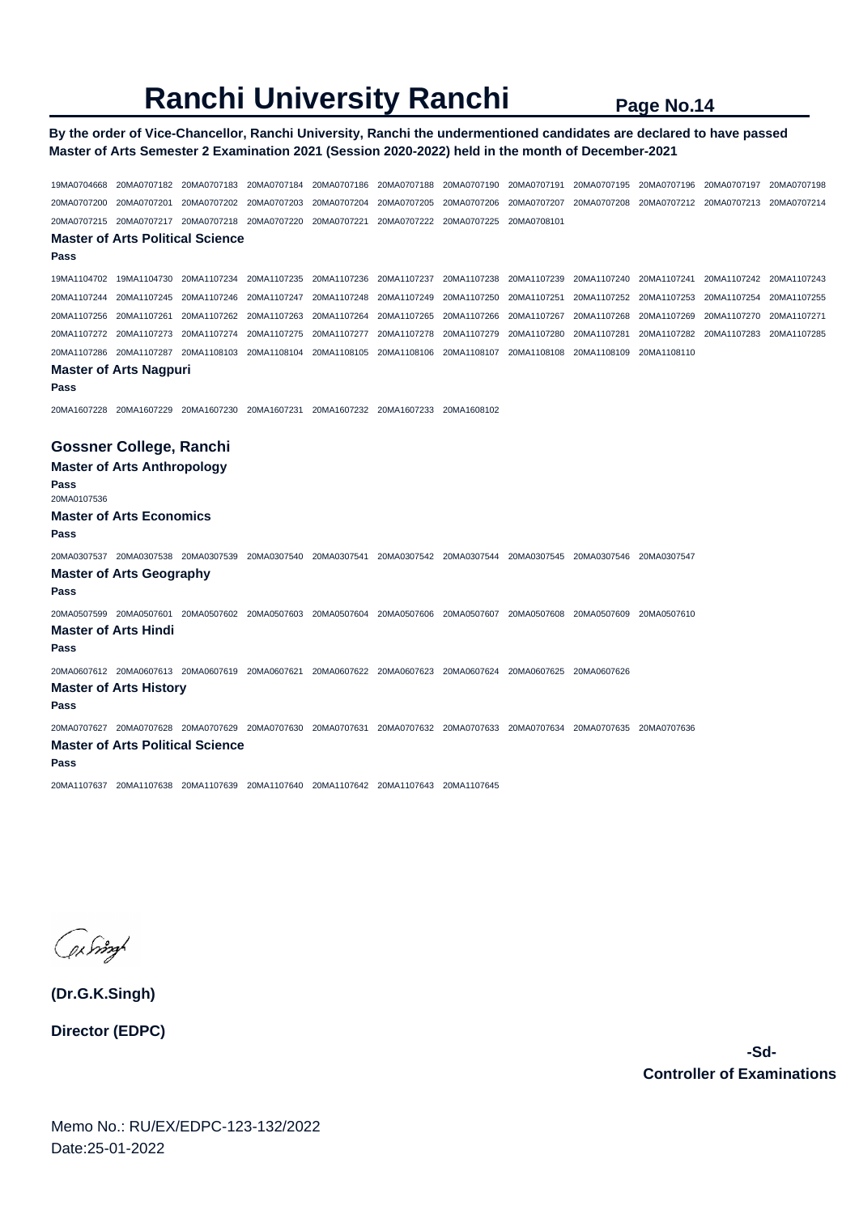### **By the order of Vice-Chancellor, Ranchi University, Ranchi the undermentioned candidates are declared to have passed Master of Arts Semester 2 Examination 2021 (Session 2020-2022) held in the month of December-2021**

19MA0704668 20MA0707182 20MA0707183 20MA0707184 20MA0707186 20MA0707188 20MA0707190 20MA0707191 20MA0707195 20MA0707196 20MA0707197 20MA0707198 20MA0707200 20MA0707201 20MA0707202 20MA0707203 20MA0707204 20MA0707205 20MA0707206 20MA0707207 20MA0707208 20MA0707212 20MA0707213 20MA0707214 20MA0707215 20MA0707217 20MA0707218 20MA0707220 20MA0707221 20MA0707222 20MA0707225 20MA0708101 **Master of Arts Political Science Pass**  19MA1104702 19MA1104730 20MA1107234 20MA1107235 20MA1107236 20MA1107237 20MA1107238 20MA1107239 20MA1107240 20MA1107241 20MA1107242 20MA1107243 20MA1107244 20MA1107245 20MA1107246 20MA1107247 20MA1107248 20MA1107249 20MA1107250 20MA1107251 20MA1107252 20MA1107253 20MA1107254 20MA1107255 20MA1107256 20MA1107261 20MA1107262 20MA1107263 20MA1107264 20MA1107265 20MA1107266 20MA1107267 20MA1107268 20MA1107269 20MA1107270 20MA1107271 20MA1107272 20MA1107273 20MA1107274 20MA1107275 20MA1107277 20MA1107278 20MA1107279 20MA1107280 20MA1107281 20MA1107282 20MA1107283 20MA1107285 20MA1107286 20MA1107287 20MA1108103 20MA1108104 20MA1108105 20MA1108106 20MA1108107 20MA1108108 20MA1108109 20MA1108110 **Master of Arts Nagpuri Pass**  20MA1607228 20MA1607229 20MA1607230 20MA1607231 20MA1607232 20MA1607233 20MA1608102 **Gossner College, Ranchi Master of Arts Anthropology Pass**  20MA0107536 **Master of Arts Economics Pass**  20MA0307537 20MA0307538 20MA0307539 20MA0307540 20MA0307541 20MA0307542 20MA0307544 20MA0307545 20MA0307546 20MA0307547 **Master of Arts Geography Pass**  20MA0507599 20MA0507601 20MA0507602 20MA0507603 20MA0507604 20MA0507606 20MA0507607 20MA0507608 20MA0507609 20MA0507610 **Master of Arts Hindi Pass**  20MA0607612 20MA0607613 20MA0607619 20MA0607621 20MA0607622 20MA0607623 20MA0607624 20MA0607625 20MA0607626 **Master of Arts History Pass**  20MA0707627 20MA0707628 20MA0707629 20MA0707630 20MA0707631 20MA0707632 20MA0707633 20MA0707634 20MA0707635 20MA0707636 **Master of Arts Political Science Pass**  20MA1107637 20MA1107638 20MA1107639 20MA1107640 20MA1107642 20MA1107643 20MA1107645

Jeczy 18

**(Dr.G.K.Singh)**

**Director (EDPC)**

 **-Sd-Controller of Examinations**